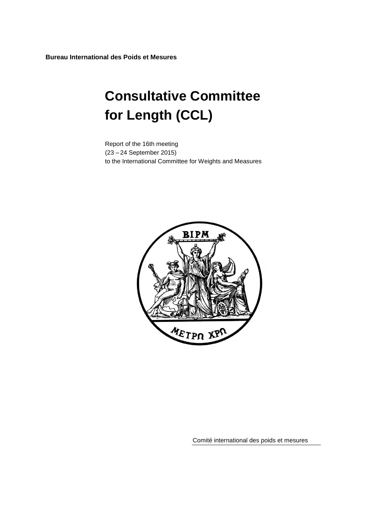**Bureau International des Poids et Mesures**

# **Consultative Committee for Length (CCL)**

Report of the 16th meeting (23 – 24 September 2015) to the International Committee for Weights and Measures



Comité international des poids et mesures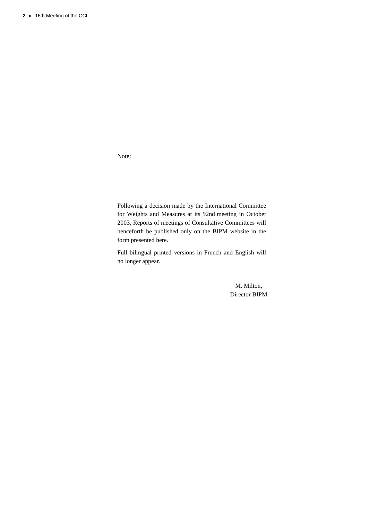Note:

Following a decision made by the International Committee for Weights and Measures at its 92nd meeting in October 2003, Reports of meetings of Consultative Committees will henceforth be published only on the BIPM website in the form presented here.

Full bilingual printed versions in French and English will no longer appear.

> M. Milton, Director BIPM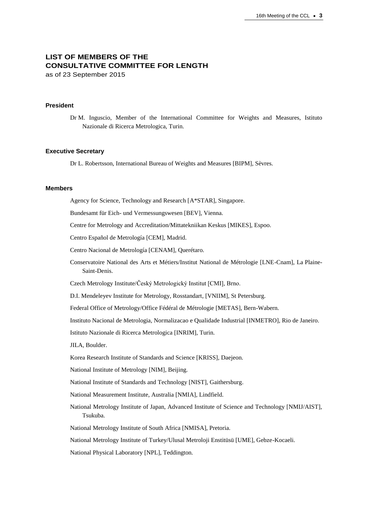# **LIST OF MEMBERS OF THE CONSULTATIVE COMMITTEE FOR LENGTH**

as of 23 September 2015

## **President**

Dr M. Inguscio, Member of the International Committee for Weights and Measures, Istituto Nazionale di Ricerca Metrologica, Turin.

#### **Executive Secretary**

Dr L. Robertsson, International Bureau of Weights and Measures [BIPM], Sèvres.

### **Members**

Agency for Science, Technology and Research [\[A\\*STAR\]](http://www.nmc.a-star.edu.sg/), Singapore.

Bundesamt für Eich- und Vermessungswesen [\[BEV\]](http://www.bev.gv.at/), Vienna.

Centre for Metrology and Accreditation/Mittatekniikan Keskus [MIKES], Espoo.

Centro Español de Metrología [CEM], Madrid.

Centro Nacional de Metrología [CENAM], Querétaro.

Conservatoire National des Arts et Métiers/Institut National de Métrologie [LNE-Cnam], La Plaine-Saint-Denis.

Czech Metrology Institute/Český Metrologický Institut [CMI], Brno.

D.I. Mendeleyev Institute for Metrology, Rosstandart, [VNIIM], St Petersburg.

Federal Office of Metrology/Office Fédéral de Métrologie [METAS], Bern-Wabern.

Instituto Nacional de Metrologia, Normalizacao e Qualidade Industrial [INMETRO], Rio de Janeiro.

Istituto Nazionale di Ricerca Metrologica [INRIM], Turin.

JILA, Boulder.

Korea Research Institute of Standards and Science [KRISS], Daejeon.

National Institute of Metrology [NIM], Beijing.

National Institute of Standards and Technology [NIST], Gaithersburg.

National Measurement Institute, Australia [NMIA], Lindfield.

National Metrology Institute of Japan, Advanced Institute of Science and Technology [NMIJ/AIST], Tsukuba.

National Metrology Institute of South Africa [NMISA], Pretoria.

National Metrology Institute of Turkey/Ulusal Metroloji Enstitüsü [UME], Gebze-Kocaeli.

National Physical Laboratory [NPL], Teddington.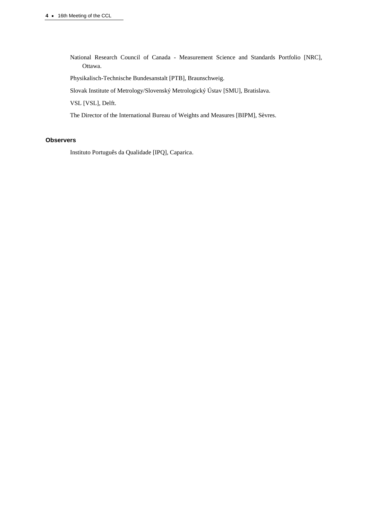National Research Council of Canada - Measurement Science and Standards Portfolio [NRC], Ottawa.

Physikalisch-Technische Bundesanstalt [PTB], Braunschweig.

Slovak Institute of Metrology/Slovenský Metrologický Ústav [SMU], Bratislava.

VSL [VSL], Delft.

The Director of the International Bureau of Weights and Measures [BIPM], Sèvres.

## **Observers**

Instituto Português da Qualidade [IPQ], Caparica.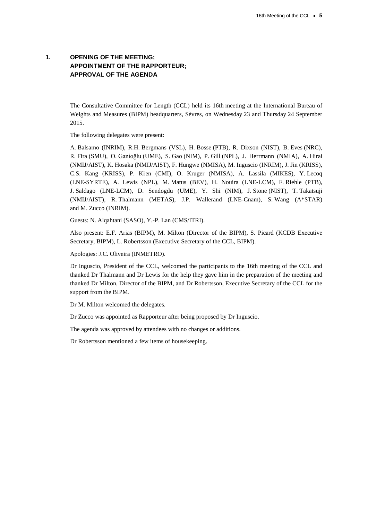# **1. OPENING OF THE MEETING; APPOINTMENT OF THE RAPPORTEUR; APPROVAL OF THE AGENDA**

The Consultative Committee for Length (CCL) held its 16th meeting at the International Bureau of Weights and Measures (BIPM) headquarters, Sèvres, on Wednesday 23 and Thursday 24 September 2015.

The following delegates were present:

A. Balsamo (INRIM), R.H. Bergmans (VSL), H. Bosse (PTB), R. Dixson (NIST), B. Eves (NRC), R. Fira (SMU), O. Ganioğlu (UME), S. Gao (NIM), P. Gill (NPL), J. Herrmann (NMIA), A. Hirai (NMIJ/AIST), K. Hosaka (NMIJ/AIST), F. Hungwe (NMISA), M. Inguscio (INRIM), J. Jin (KRISS), C.S. Kang (KRISS), P. Křen (CMI), O. Kruger (NMISA), A. Lassila (MIKES), Y. Lecoq (LNE-SYRTE), A. Lewis (NPL), M. Matus (BEV), H. Nouira (LNE-LCM), F. Riehle (PTB), J. Saldago (LNE-LCM), D. Sendogdu (UME), Y. Shi (NIM), J. Stone (NIST), T. Takatsuji (NMIJ/AIST), R. Thalmann (METAS), J.P. Wallerand (LNE-Cnam), S. Wang (A\*STAR) and M. Zucco (INRIM).

Guests: N. Alqahtani (SASO), Y.-P. Lan (CMS/ITRI).

Also present: E.F. Arias (BIPM), M. Milton (Director of the BIPM), S. Picard (KCDB Executive Secretary, BIPM), L. Robertsson (Executive Secretary of the CCL, BIPM).

Apologies: J.C. Oliveira (INMETRO).

Dr Inguscio, President of the CCL, welcomed the participants to the 16th meeting of the CCL and thanked Dr Thalmann and Dr Lewis for the help they gave him in the preparation of the meeting and thanked Dr Milton, Director of the BIPM, and Dr Robertsson, Executive Secretary of the CCL for the support from the BIPM.

Dr M. Milton welcomed the delegates.

Dr Zucco was appointed as Rapporteur after being proposed by Dr Inguscio.

The agenda was approved by attendees with no changes or additions.

Dr Robertsson mentioned a few items of housekeeping.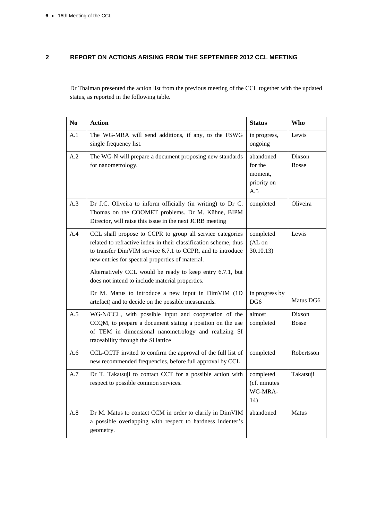# **2 REPORT ON ACTIONS ARISING FROM THE SEPTEMBER 2012 CCL MEETING**

Dr Thalman presented the action list from the previous meeting of the CCL together with the updated status, as reported in the following table.

| N <sub>0</sub> | <b>Action</b>                                                                                                                                                                                                                                   | <b>Status</b>                                         | <b>Who</b>             |
|----------------|-------------------------------------------------------------------------------------------------------------------------------------------------------------------------------------------------------------------------------------------------|-------------------------------------------------------|------------------------|
| A.1            | The WG-MRA will send additions, if any, to the FSWG<br>single frequency list.                                                                                                                                                                   | in progress,<br>ongoing                               | Lewis                  |
| A.2            | The WG-N will prepare a document proposing new standards<br>for nanometrology.                                                                                                                                                                  | abandoned<br>for the<br>moment,<br>priority on<br>A.5 | Dixson<br><b>Bosse</b> |
| A.3            | Dr J.C. Oliveira to inform officially (in writing) to Dr C.<br>Thomas on the COOMET problems. Dr M. Kühne, BIPM<br>Director, will raise this issue in the next JCRB meeting                                                                     | completed                                             | Oliveira               |
| A.4            | CCL shall propose to CCPR to group all service categories<br>related to refractive index in their classification scheme, thus<br>to transfer DimVIM service 6.7.1 to CCPR, and to introduce<br>new entries for spectral properties of material. | completed<br>(AL on<br>30.10.13                       | Lewis                  |
|                | Alternatively CCL would be ready to keep entry 6.7.1, but<br>does not intend to include material properties.                                                                                                                                    |                                                       |                        |
|                | Dr M. Matus to introduce a new input in DimVIM (1D<br>artefact) and to decide on the possible measurands.                                                                                                                                       | in progress by<br>DG6                                 | Matus DG6              |
| A.5            | WG-N/CCL, with possible input and cooperation of the<br>CCQM, to prepare a document stating a position on the use<br>of TEM in dimensional nanometrology and realizing SI<br>traceability through the Si lattice                                | almost<br>completed                                   | Dixson<br><b>Bosse</b> |
| A.6            | CCL-CCTF invited to confirm the approval of the full list of<br>new recommended frequencies, before full approval by CCL                                                                                                                        | completed                                             | Robertsson             |
| A.7            | Dr T. Takatsuji to contact CCT for a possible action with<br>respect to possible common services.                                                                                                                                               | completed<br>(cf. minutes<br>WG-MRA-<br>14)           | Takatsuji              |
| A.8            | Dr M. Matus to contact CCM in order to clarify in DimVIM<br>a possible overlapping with respect to hardness indenter's<br>geometry.                                                                                                             | abandoned                                             | <b>Matus</b>           |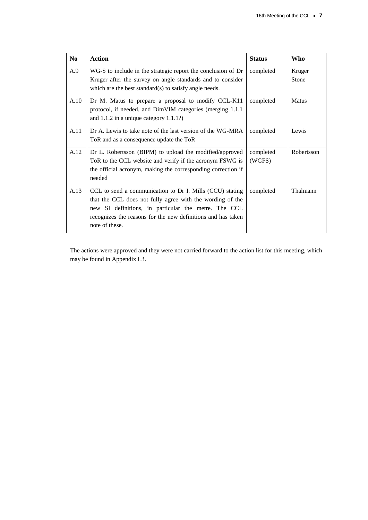| N <sub>0</sub> | <b>Action</b>                                                                                                                                                                                                                                                   | <b>Status</b>       | Who             |
|----------------|-----------------------------------------------------------------------------------------------------------------------------------------------------------------------------------------------------------------------------------------------------------------|---------------------|-----------------|
| A.9            | WG-S to include in the strategic report the conclusion of Dr<br>Kruger after the survey on angle standards and to consider<br>which are the best standard(s) to satisfy angle needs.                                                                            | completed           | Kruger<br>Stone |
| A.10           | Dr M. Matus to prepare a proposal to modify CCL-K11<br>protocol, if needed, and DimVIM categories (merging 1.1.1)<br>and $1.1.2$ in a unique category $1.1.1$ ?)                                                                                                | completed           | Matus           |
| A.11           | Dr A. Lewis to take note of the last version of the WG-MRA<br>ToR and as a consequence update the ToR                                                                                                                                                           | completed           | Lewis           |
| A.12           | Dr L. Robertsson (BIPM) to upload the modified/approved<br>ToR to the CCL website and verify if the acronym FSWG is<br>the official acronym, making the corresponding correction if<br>needed                                                                   | completed<br>(WGFS) | Robertsson      |
| A.13           | CCL to send a communication to Dr I. Mills (CCU) stating<br>that the CCL does not fully agree with the wording of the<br>new SI definitions, in particular the metre. The CCL<br>recognizes the reasons for the new definitions and has taken<br>note of these. | completed           | Thalmann        |

The actions were approved and they were not carried forward to the action list for this meeting, which may be found in Appendix L3.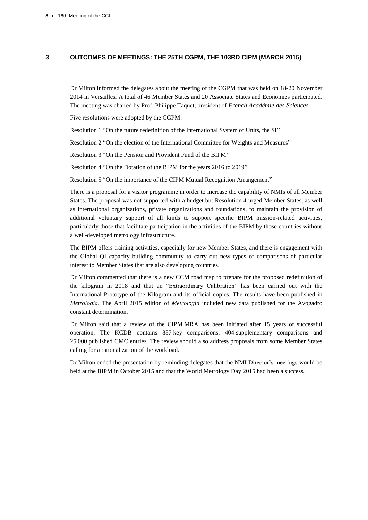### **3 OUTCOMES OF MEETINGS: THE 25TH CGPM, THE 103RD CIPM (MARCH 2015)**

Dr Milton informed the delegates about the meeting of the CGPM that was held on 18-20 November 2014 in Versailles. A total of 46 Member States and 20 Associate States and Economies participated. The meeting was chaired by Prof. Philippe Taquet, president of *French Académie des Sciences*.

Five resolutions were adopted by the CGPM:

Resolution 1 "On the future redefinition of the International System of Units, the SI"

Resolution 2 "On the election of the International Committee for Weights and Measures"

Resolution 3 "On the Pension and Provident Fund of the BIPM"

Resolution 4 "On the Dotation of the BIPM for the years 2016 to 2019"

Resolution 5 "On the importance of the CIPM Mutual Recognition Arrangement".

There is a proposal for a visitor programme in order to increase the capability of NMIs of all Member States. The proposal was not supported with a budget but Resolution 4 urged Member States, as well as international organizations, private organizations and foundations, to maintain the provision of additional voluntary support of all kinds to support specific BIPM mission-related activities, particularly those that facilitate participation in the activities of the BIPM by those countries without a well-developed metrology infrastructure.

The BIPM offers training activities, especially for new Member States, and there is engagement with the Global QI capacity building community to carry out new types of comparisons of particular interest to Member States that are also developing countries.

Dr Milton commented that there is a new CCM road map to prepare for the proposed redefinition of the kilogram in 2018 and that an "Extraordinary Calibration" has been carried out with the International Prototype of the Kilogram and its official copies. The results have been published in *Metrologia*. The April 2015 edition of *Metrologia* included new data published for the Avogadro constant determination.

Dr Milton said that a review of the CIPM MRA has been initiated after 15 years of successful operation. The KCDB contains 887 key comparisons, 404 supplementary comparisons and 25 000 published CMC entries. The review should also address proposals from some Member States calling for a rationalization of the workload.

Dr Milton ended the presentation by reminding delegates that the NMI Director's meetings would be held at the BIPM in October 2015 and that the World Metrology Day 2015 had been a success.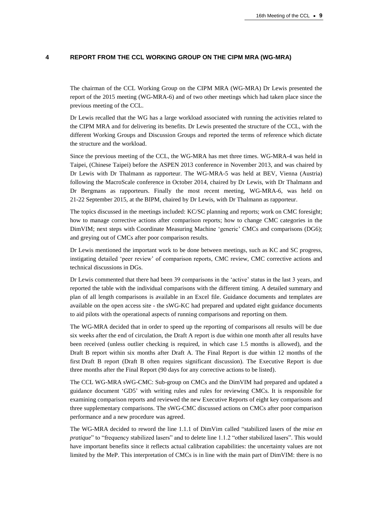## **4 REPORT FROM THE CCL WORKING GROUP ON THE CIPM MRA (WG-MRA)**

The chairman of the CCL Working Group on the CIPM MRA (WG-MRA) Dr Lewis presented the report of the 2015 meeting (WG-MRA-6) and of two other meetings which had taken place since the previous meeting of the CCL.

Dr Lewis recalled that the WG has a large workload associated with running the activities related to the CIPM MRA and for delivering its benefits. Dr Lewis presented the structure of the CCL, with the different Working Groups and Discussion Groups and reported the terms of reference which dictate the structure and the workload.

Since the previous meeting of the CCL, the WG-MRA has met three times. WG-MRA-4 was held in Taipei, (Chinese Taipei) before the ASPEN 2013 conference in November 2013, and was chaired by Dr Lewis with Dr Thalmann as rapporteur. The WG-MRA-5 was held at BEV, Vienna (Austria) following the MacroScale conference in October 2014, chaired by Dr Lewis, with Dr Thalmann and Dr Bergmans as rapporteurs. Finally the most recent meeting, WG-MRA-6, was held on 21-22 September 2015, at the BIPM, chaired by Dr Lewis, with Dr Thalmann as rapporteur.

The topics discussed in the meetings included: KC/SC planning and reports; work on CMC foresight; how to manage corrective actions after comparison reports; how to change CMC categories in the DimVIM; next steps with Coordinate Measuring Machine 'generic' CMCs and comparisons (DG6); and greying out of CMCs after poor comparison results.

Dr Lewis mentioned the important work to be done between meetings, such as KC and SC progress, instigating detailed 'peer review' of comparison reports, CMC review, CMC corrective actions and technical discussions in DGs.

Dr Lewis commented that there had been 39 comparisons in the 'active' status in the last 3 years, and reported the table with the individual comparisons with the different timing. A detailed summary and plan of all length comparisons is available in an Excel file. Guidance documents and templates are available on the open access site - the sWG-KC had prepared and updated eight guidance documents to aid pilots with the operational aspects of running comparisons and reporting on them.

The WG-MRA decided that in order to speed up the reporting of comparisons all results will be due six weeks after the end of circulation, the Draft A report is due within one month after all results have been received (unless outlier checking is required, in which case 1.5 months is allowed), and the Draft B report within six months after Draft A. The Final Report is due within 12 months of the first Draft B report (Draft B often requires significant discussion). The Executive Report is due three months after the Final Report (90 days for any corrective actions to be listed).

The CCL WG-MRA sWG-CMC: Sub-group on CMCs and the DimVIM had prepared and updated a guidance document 'GD5' with writing rules and rules for reviewing CMCs. It is responsible for examining comparison reports and reviewed the new Executive Reports of eight key comparisons and three supplementary comparisons. The sWG-CMC discussed actions on CMCs after poor comparison performance and a new procedure was agreed.

The WG-MRA decided to reword the line 1.1.1 of DimVim called "stabilized lasers of the *mise en pratique*" to "frequency stabilized lasers" and to delete line 1.1.2 "other stabilized lasers". This would have important benefits since it reflects actual calibration capabilities: the uncertainty values are not limited by the MeP. This interpretation of CMCs is in line with the main part of DimVIM: there is no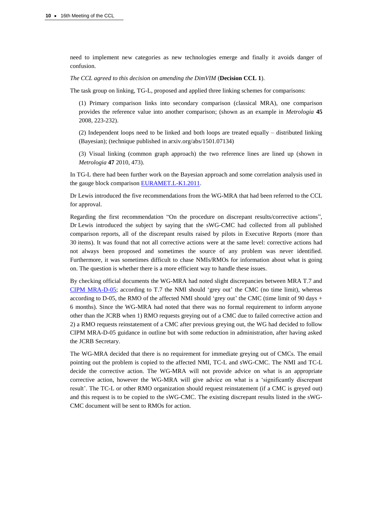need to implement new categories as new technologies emerge and finally it avoids danger of confusion.

*The CCL agreed to this decision on amending the DimVIM* (**Decision CCL 1**).

The task group on linking, TG-L, proposed and applied three linking schemes for comparisons:

(1) Primary comparison links into secondary comparison (classical MRA), one comparison provides the reference value into another comparison; (shown as an example in *Metrologia* **45** 2008, 223-232).

(2) Independent loops need to be linked and both loops are treated equally – distributed linking (Bayesian); (technique published in arxiv.org/abs/1501.07134)

(3) Visual linking (common graph approach) the two reference lines are lined up (shown in *Metrologia* **47** 2010, 473).

In TG-L there had been further work on the Bayesian approach and some correlation analysis used in the gauge block comparison [EURAMET.L-K1.2011.](http://kcdb.bipm.org/appendixB/KCDB_ApB_info.asp?cmp_idy=1194&cmp_cod=EURAMET.L-K1.2011&prov=exalead)

Dr Lewis introduced the five recommendations from the WG-MRA that had been referred to the CCL for approval.

Regarding the first recommendation "On the procedure on discrepant results/corrective actions", Dr Lewis introduced the subject by saying that the sWG-CMC had collected from all published comparison reports, all of the discrepant results raised by pilots in Executive Reports (more than 30 items). It was found that not all corrective actions were at the same level: corrective actions had not always been proposed and sometimes the source of any problem was never identified. Furthermore, it was sometimes difficult to chase NMIs/RMOs for information about what is going on. The question is whether there is a more efficient way to handle these issues.

By checking official documents the WG-MRA had noted slight discrepancies between MRA T.7 and CIPM [MRA-D-05;](https://www.bipm.org/utils/common/documents/CIPM-MRA/CIPM-MRA-D-05.pdf) according to T.7 the NMI should 'grey out' the CMC (no time limit), whereas according to D-05, the RMO of the affected NMI should 'grey out' the CMC (time limit of 90 days + 6 months). Since the WG-MRA had noted that there was no formal requirement to inform anyone other than the JCRB when 1) RMO requests greying out of a CMC due to failed corrective action and 2) a RMO requests reinstatement of a CMC after previous greying out, the WG had decided to follow CIPM MRA-D-05 guidance in outline but with some reduction in administration, after having asked the JCRB Secretary.

The WG-MRA decided that there is no requirement for immediate greying out of CMCs. The email pointing out the problem is copied to the affected NMI, TC-L and sWG-CMC. The NMI and TC-L decide the corrective action. The WG-MRA will not provide advice on what is an appropriate corrective action, however the WG-MRA will give advice on what is a 'significantly discrepant result'. The TC-L or other RMO organization should request reinstatement (if a CMC is greyed out) and this request is to be copied to the sWG-CMC. The existing discrepant results listed in the sWG-CMC document will be sent to RMOs for action.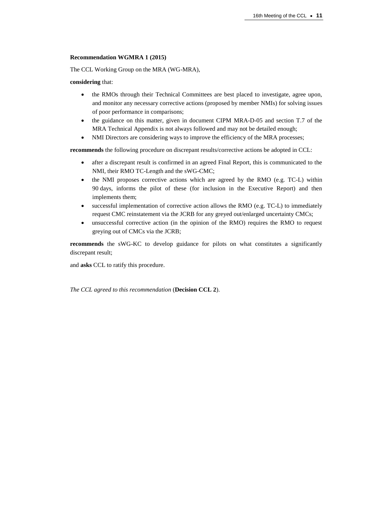## **Recommendation WGMRA 1 (2015)**

The CCL Working Group on the MRA (WG-MRA),

**considering** that:

- the RMOs through their Technical Committees are best placed to investigate, agree upon, and monitor any necessary corrective actions (proposed by member NMIs) for solving issues of poor performance in comparisons;
- the guidance on this matter, given in document CIPM MRA-D-05 and section T.7 of the MRA Technical Appendix is not always followed and may not be detailed enough;
- NMI Directors are considering ways to improve the efficiency of the MRA processes;

**recommends** the following procedure on discrepant results/corrective actions be adopted in CCL:

- after a discrepant result is confirmed in an agreed Final Report, this is communicated to the NMI, their RMO TC-Length and the sWG-CMC;
- the NMI proposes corrective actions which are agreed by the RMO (e.g. TC-L) within 90 days, informs the pilot of these (for inclusion in the Executive Report) and then implements them;
- successful implementation of corrective action allows the RMO (e.g. TC-L) to immediately request CMC reinstatement via the JCRB for any greyed out/enlarged uncertainty CMCs;
- unsuccessful corrective action (in the opinion of the RMO) requires the RMO to request greying out of CMCs via the JCRB;

**recommends** the sWG-KC to develop guidance for pilots on what constitutes a significantly discrepant result;

and **asks** CCL to ratify this procedure.

*The CCL agreed to this recommendation* (**Decision CCL 2**).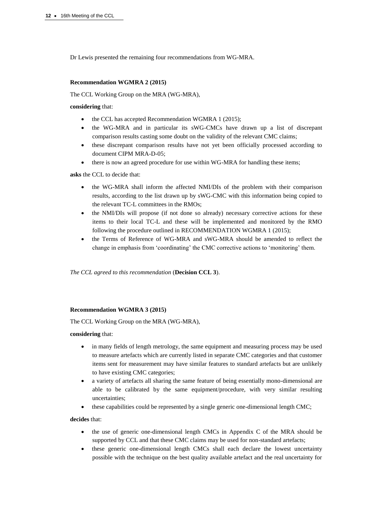Dr Lewis presented the remaining four recommendations from WG-MRA.

#### **Recommendation WGMRA 2 (2015)**

The CCL Working Group on the MRA (WG-MRA),

#### **considering** that:

- the CCL has accepted Recommendation WGMRA 1 (2015);
- the WG-MRA and in particular its sWG-CMCs have drawn up a list of discrepant comparison results casting some doubt on the validity of the relevant CMC claims;
- these discrepant comparison results have not yet been officially processed according to document CIPM MRA-D-05;
- there is now an agreed procedure for use within WG-MRA for handling these items;

**asks** the CCL to decide that:

- the WG-MRA shall inform the affected NMI/DIs of the problem with their comparison results, according to the list drawn up by sWG-CMC with this information being copied to the relevant TC-L committees in the RMOs;
- the NMI/DIs will propose (if not done so already) necessary corrective actions for these items to their local TC-L and these will be implemented and monitored by the RMO following the procedure outlined in RECOMMENDATION WGMRA 1 (2015);
- the Terms of Reference of WG-MRA and sWG-MRA should be amended to reflect the change in emphasis from 'coordinating' the CMC corrective actions to 'monitoring' them.

*The CCL agreed to this recommendation* (**Decision CCL 3**).

#### **Recommendation WGMRA 3 (2015)**

The CCL Working Group on the MRA (WG-MRA),

**considering** that:

- in many fields of length metrology, the same equipment and measuring process may be used to measure artefacts which are currently listed in separate CMC categories and that customer items sent for measurement may have similar features to standard artefacts but are unlikely to have existing CMC categories;
- a variety of artefacts all sharing the same feature of being essentially mono-dimensional are able to be calibrated by the same equipment/procedure, with very similar resulting uncertainties;
- these capabilities could be represented by a single generic one-dimensional length CMC;

**decides** that:

- the use of generic one-dimensional length CMCs in Appendix C of the MRA should be supported by CCL and that these CMC claims may be used for non-standard artefacts;
- these generic one-dimensional length CMCs shall each declare the lowest uncertainty possible with the technique on the best quality available artefact and the real uncertainty for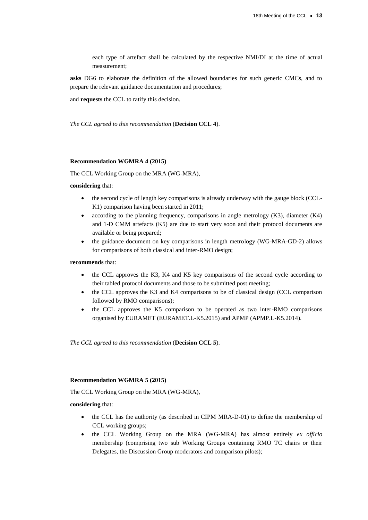each type of artefact shall be calculated by the respective NMI/DI at the time of actual measurement;

**asks** DG6 to elaborate the definition of the allowed boundaries for such generic CMCs, and to prepare the relevant guidance documentation and procedures;

and **requests** the CCL to ratify this decision.

*The CCL agreed to this recommendation* (**Decision CCL 4**).

#### **Recommendation WGMRA 4 (2015)**

The CCL Working Group on the MRA (WG-MRA),

### **considering** that:

- the second cycle of length key comparisons is already underway with the gauge block (CCL-K1) comparison having been started in 2011;
- according to the planning frequency, comparisons in angle metrology (K3), diameter (K4) and 1-D CMM artefacts (K5) are due to start very soon and their protocol documents are available or being prepared;
- the guidance document on key comparisons in length metrology (WG-MRA-GD-2) allows for comparisons of both classical and inter-RMO design;

**recommends** that:

- the CCL approves the K3, K4 and K5 key comparisons of the second cycle according to their tabled protocol documents and those to be submitted post meeting;
- the CCL approves the K3 and K4 comparisons to be of classical design (CCL comparison followed by RMO comparisons);
- the CCL approves the K5 comparison to be operated as two inter-RMO comparisons organised by EURAMET (EURAMET.L-K5.2015) and APMP (APMP.L-K5.2014).

*The CCL agreed to this recommendation* (**Decision CCL 5**).

#### **Recommendation WGMRA 5 (2015)**

The CCL Working Group on the MRA (WG-MRA),

**considering** that:

- the CCL has the authority (as described in CIPM MRA-D-01) to define the membership of CCL working groups;
- the CCL Working Group on the MRA (WG-MRA) has almost entirely *ex officio* membership (comprising two sub Working Groups containing RMO TC chairs or their Delegates, the Discussion Group moderators and comparison pilots);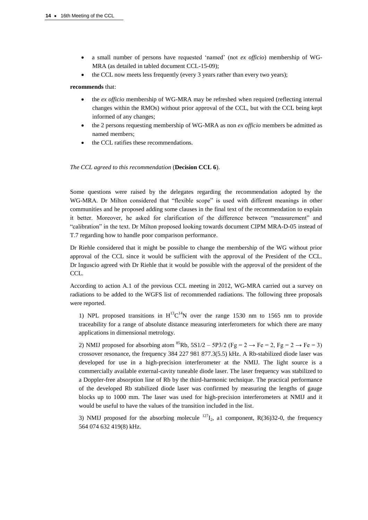- a small number of persons have requested 'named' (not *ex officio*) membership of WG-MRA (as detailed in tabled document CCL-15-09);
- the CCL now meets less frequently (every 3 years rather than every two years);

#### **recommends** that:

- the *ex officio* membership of WG-MRA may be refreshed when required (reflecting internal changes within the RMOs) without prior approval of the CCL, but with the CCL being kept informed of any changes;
- the 2 persons requesting membership of WG-MRA as non *ex officio* members be admitted as named members;
- the CCL ratifies these recommendations.

#### *The CCL agreed to this recommendation* (**Decision CCL 6**).

Some questions were raised by the delegates regarding the recommendation adopted by the WG-MRA. Dr Milton considered that "flexible scope" is used with different meanings in other communities and he proposed adding some clauses in the final text of the recommendation to explain it better. Moreover, he asked for clarification of the difference between "measurement" and "calibration" in the text. Dr Milton proposed looking towards document CIPM MRA-D-05 instead of T.7 regarding how to handle poor comparison performance.

Dr Riehle considered that it might be possible to change the membership of the WG without prior approval of the CCL since it would be sufficient with the approval of the President of the CCL. Dr Inguscio agreed with Dr Riehle that it would be possible with the approval of the president of the CCL.

According to action A.1 of the previous CCL meeting in 2012, WG-MRA carried out a survey on radiations to be added to the WGFS list of recommended radiations. The following three proposals were reported.

1) NPL proposed transitions in  $H^{13}C^{14}N$  over the range 1530 nm to 1565 nm to provide traceability for a range of absolute distance measuring interferometers for which there are many applications in dimensional metrology.

2) NMIJ proposed for absorbing atom <sup>85</sup>Rb,  $5S1/2 - 5P3/2$  (Fg = 2  $\rightarrow$  Fe = 2, Fg = 2  $\rightarrow$  Fe = 3) crossover resonance, the frequency 384 227 981 877.3(5.5) kHz. A Rb-stabilized diode laser was developed for use in a high-precision interferometer at the NMIJ. The light source is a commercially available external-cavity tuneable diode laser. The laser frequency was stabilized to a Doppler-free absorption line of Rb by the third-harmonic technique. The practical performance of the developed Rb stabilized diode laser was confirmed by measuring the lengths of gauge blocks up to 1000 mm. The laser was used for high-precision interferometers at NMIJ and it would be useful to have the values of the transition included in the list.

3) NMIJ proposed for the absorbing molecule  $^{127}I_2$ , a1 component, R(36)32-0, the frequency 564 074 632 419(8) kHz.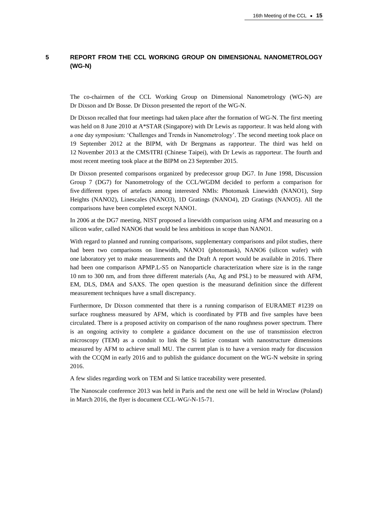# **5 REPORT FROM THE CCL WORKING GROUP ON DIMENSIONAL NANOMETROLOGY (WG-N)**

The co-chairmen of the CCL Working Group on Dimensional Nanometrology (WG-N) are Dr Dixson and Dr Bosse. Dr Dixson presented the report of the WG-N.

Dr Dixson recalled that four meetings had taken place after the formation of WG-N. The first meeting was held on 8 June 2010 at A\*STAR (Singapore) with Dr Lewis as rapporteur. It was held along with a one day symposium: 'Challenges and Trends in Nanometrology'. The second meeting took place on 19 September 2012 at the BIPM, with Dr Bergmans as rapporteur. The third was held on 12 November 2013 at the CMS/ITRI (Chinese Taipei), with Dr Lewis as rapporteur. The fourth and most recent meeting took place at the BIPM on 23 September 2015.

Dr Dixson presented comparisons organized by predecessor group DG7. In June 1998, Discussion Group 7 (DG7) for Nanometrology of the CCL/WGDM decided to perform a comparison for five different types of artefacts among interested NMIs: Photomask Linewidth (NANO1), Step Heights (NANO2), Linescales (NANO3), 1D Gratings (NANO4), 2D Gratings (NANO5). All the comparisons have been completed except NANO1.

In 2006 at the DG7 meeting, NIST proposed a linewidth comparison using AFM and measuring on a silicon wafer, called NANO6 that would be less ambitious in scope than NANO1.

With regard to planned and running comparisons, supplementary comparisons and pilot studies, there had been two comparisons on linewidth, NANO1 (photomask), NANO6 (silicon wafer) with one laboratory yet to make measurements and the Draft A report would be available in 2016. There had been one comparison APMP.L-S5 on Nanoparticle characterization where size is in the range 10 nm to 300 nm, and from three different materials (Au, Ag and PSL) to be measured with AFM, EM, DLS, DMA and SAXS. The open question is the measurand definition since the different measurement techniques have a small discrepancy.

Furthermore, Dr Dixson commented that there is a running comparison of EURAMET #1239 on surface roughness measured by AFM, which is coordinated by PTB and five samples have been circulated. There is a proposed activity on comparison of the nano roughness power spectrum. There is an ongoing activity to complete a guidance document on the use of transmission electron microscopy (TEM) as a conduit to link the Si lattice constant with nanostructure dimensions measured by AFM to achieve small MU. The current plan is to have a version ready for discussion with the CCQM in early 2016 and to publish the guidance document on the WG-N website in spring 2016.

A few slides regarding work on TEM and Si lattice traceability were presented.

The Nanoscale conference 2013 was held in Paris and the next one will be held in Wroclaw (Poland) in March 2016, the flyer is document CCL-WG/-N-15-71.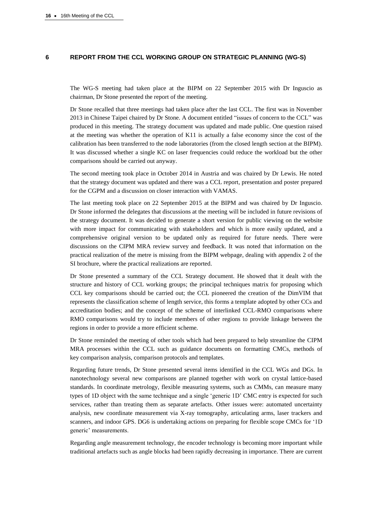### **6 REPORT FROM THE CCL WORKING GROUP ON STRATEGIC PLANNING (WG-S)**

The WG-S meeting had taken place at the BIPM on 22 September 2015 with Dr Inguscio as chairman, Dr Stone presented the report of the meeting.

Dr Stone recalled that three meetings had taken place after the last CCL. The first was in November 2013 in Chinese Taipei chaired by Dr Stone. A document entitled "issues of concern to the CCL" was produced in this meeting. The strategy document was updated and made public. One question raised at the meeting was whether the operation of K11 is actually a false economy since the cost of the calibration has been transferred to the node laboratories (from the closed length section at the BIPM). It was discussed whether a single KC on laser frequencies could reduce the workload but the other comparisons should be carried out anyway.

The second meeting took place in October 2014 in Austria and was chaired by Dr Lewis. He noted that the strategy document was updated and there was a CCL report, presentation and poster prepared for the CGPM and a discussion on closer interaction with VAMAS.

The last meeting took place on 22 September 2015 at the BIPM and was chaired by Dr Inguscio. Dr Stone informed the delegates that discussions at the meeting will be included in future revisions of the strategy document. It was decided to generate a short version for public viewing on the website with more impact for communicating with stakeholders and which is more easily updated, and a comprehensive original version to be updated only as required for future needs. There were discussions on the CIPM MRA review survey and feedback. It was noted that information on the practical realization of the metre is missing from the BIPM webpage, dealing with appendix 2 of the SI brochure, where the practical realizations are reported.

Dr Stone presented a summary of the CCL Strategy document. He showed that it dealt with the structure and history of CCL working groups; the principal techniques matrix for proposing which CCL key comparisons should be carried out; the CCL pioneered the creation of the DimVIM that represents the classification scheme of length service, this forms a template adopted by other CCs and accreditation bodies; and the concept of the scheme of interlinked CCL-RMO comparisons where RMO comparisons would try to include members of other regions to provide linkage between the regions in order to provide a more efficient scheme.

Dr Stone reminded the meeting of other tools which had been prepared to help streamline the CIPM MRA processes within the CCL such as guidance documents on formatting CMCs, methods of key comparison analysis, comparison protocols and templates.

Regarding future trends, Dr Stone presented several items identified in the CCL WGs and DGs. In nanotechnology several new comparisons are planned together with work on crystal lattice-based standards. In coordinate metrology, flexible measuring systems, such as CMMs, can measure many types of 1D object with the same technique and a single 'generic 1D' CMC entry is expected for such services, rather than treating them as separate artefacts. Other issues were: automated uncertainty analysis, new coordinate measurement via X-ray tomography, articulating arms, laser trackers and scanners, and indoor GPS. DG6 is undertaking actions on preparing for flexible scope CMCs for '1D generic' measurements.

Regarding angle measurement technology, the encoder technology is becoming more important while traditional artefacts such as angle blocks had been rapidly decreasing in importance. There are current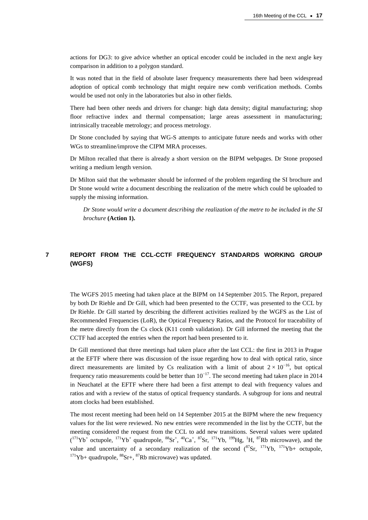actions for DG3: to give advice whether an optical encoder could be included in the next angle key comparison in addition to a polygon standard.

It was noted that in the field of absolute laser frequency measurements there had been widespread adoption of optical comb technology that might require new comb verification methods. Combs would be used not only in the laboratories but also in other fields.

There had been other needs and drivers for change: high data density; digital manufacturing; shop floor refractive index and thermal compensation; large areas assessment in manufacturing; intrinsically traceable metrology; and process metrology.

Dr Stone concluded by saying that WG-S attempts to anticipate future needs and works with other WGs to streamline/improve the CIPM MRA processes.

Dr Milton recalled that there is already a short version on the BIPM webpages. Dr Stone proposed writing a medium length version.

Dr Milton said that the webmaster should be informed of the problem regarding the SI brochure and Dr Stone would write a document describing the realization of the metre which could be uploaded to supply the missing information.

*Dr Stone would write a document describing the realization of the metre to be included in the SI brochure* **(Action 1).**

# **7 REPORT FROM THE CCL-CCTF FREQUENCY STANDARDS WORKING GROUP (WGFS)**

The WGFS 2015 meeting had taken place at the BIPM on 14 September 2015. The Report, prepared by both Dr Riehle and Dr Gill, which had been presented to the CCTF, was presented to the CCL by Dr Riehle. Dr Gill started by describing the different activities realized by the WGFS as the List of Recommended Frequencies (LoR), the Optical Frequency Ratios, and the Protocol for traceability of the metre directly from the Cs clock (K11 comb validation). Dr Gill informed the meeting that the CCTF had accepted the entries when the report had been presented to it.

Dr Gill mentioned that three meetings had taken place after the last CCL: the first in 2013 in Prague at the EFTF where there was discussion of the issue regarding how to deal with optical ratio, since direct measurements are limited by Cs realization with a limit of about  $2 \times 10^{-16}$ , but optical frequency ratio measurements could be better than  $10^{-17}$ . The second meeting had taken place in 2014 in Neuchatel at the EFTF where there had been a first attempt to deal with frequency values and ratios and with a review of the status of optical frequency standards. A subgroup for ions and neutral atom clocks had been established.

The most recent meeting had been held on 14 September 2015 at the BIPM where the new frequency values for the list were reviewed. No new entries were recommended in the list by the CCTF, but the meeting considered the request from the CCL to add new transitions. Several values were updated  $({}^{171}Yb^+$  octupole,  ${}^{171}Yb^+$  quadrupole,  ${}^{88}Sr^+$ ,  ${}^{40}Ca^+$ ,  ${}^{87}Sr$ ,  ${}^{171}Yb$ ,  ${}^{199}Hg$ ,  ${}^{1}H$ ,  ${}^{87}Rb$  microwave), and the value and uncertainty of a secondary realization of the second  $(^{87}Sr, ^{171}Yb, ^{171}Yb+$  octupole,  $171Yb+$  quadrupole,  $88Sr+$ ,  $87Rb$  microwave) was updated.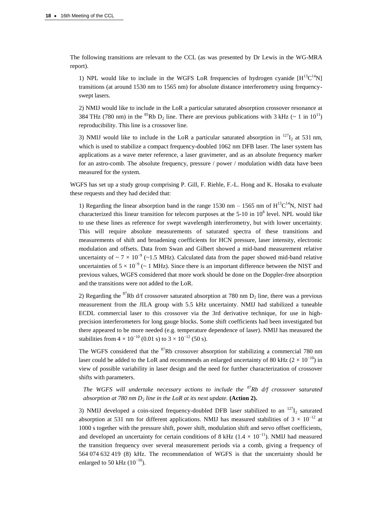The following transitions are relevant to the CCL (as was presented by Dr Lewis in the WG-MRA report).

1) NPL would like to include in the WGFS LoR frequencies of hydrogen cyanide  $[H^{13}C^{14}N]$ transitions (at around 1530 nm to 1565 nm) for absolute distance interferometry using frequencyswept lasers.

2) NMIJ would like to include in the LoR a particular saturated absorption crossover resonance at 384 THz (780 nm) in the <sup>85</sup>Rb D<sub>2</sub> line. There are previous publications with 3 kHz ( $\sim 1$  in 10<sup>11</sup>) reproducibility. This line is a crossover line.

3) NMIJ would like to include in the LoR a particular saturated absorption in  $^{127}I_2$  at 531 nm, which is used to stabilize a compact frequency-doubled 1062 nm DFB laser. The laser system has applications as a wave meter reference, a laser gravimeter, and as an absolute frequency marker for an astro-comb. The absolute frequency, pressure / power / modulation width data have been measured for the system.

WGFS has set up a study group comprising P. Gill, F. Riehle, F.-L. Hong and K. Hosaka to evaluate these requests and they had decided that:

1) Regarding the linear absorption band in the range 1530 nm  $-$  1565 nm of  $H^{13}C^{14}N$ , NIST had characterized this linear transition for telecom purposes at the  $5{\text -}10$  in  $10^8$  level. NPL would like to use these lines as reference for swept wavelength interferometry, but with lower uncertainty. This will require absolute measurements of saturated spectra of these transitions and measurements of shift and broadening coefficients for HCN pressure, laser intensity, electronic modulation and offsets. Data from Swan and Gilbert showed a mid-band measurement relative uncertainty of  $\sim 7 \times 10^{-9}$  (~1.5 MHz). Calculated data from the paper showed mid-band relative uncertainties of  $5 \times 10^{-9}$  (~ 1 MHz). Since there is an important difference between the NIST and previous values, WGFS considered that more work should be done on the Doppler-free absorption and the transitions were not added to the LoR.

2) Regarding the <sup>87</sup>Rb d/f crossover saturated absorption at 780 nm  $D_2$  line, there was a previous measurement from the JILA group with 5.5 kHz uncertainty. NMIJ had stabilized a tuneable ECDL commercial laser to this crossover via the 3rd derivative technique, for use in highprecision interferometers for long gauge blocks. Some shift coefficients had been investigated but there appeared to be more needed (e.g. temperature dependence of laser). NMIJ has measured the stabilities from  $4 \times 10^{-10}$  (0.01 s) to  $3 \times 10^{-12}$  (50 s).

The WGFS considered that the  ${}^{87}$ Rb crossover absorption for stabilizing a commercial 780 nm laser could be added to the LoR and recommends an enlarged uncertainty of 80 kHz ( $2 \times 10^{-10}$ ) in view of possible variability in laser design and the need for further characterization of crossover shifts with parameters.

*The WGFS will undertake necessary actions to include the <sup>87</sup>Rb d/f crossover saturated absorption at 780 nm D<sup>2</sup> line in the LoR at its next update.* **(Action 2).**

3) NMIJ developed a coin-sized frequency-doubled DFB laser stabilized to an  $^{127}I_2$  saturated absorption at 531 nm for different applications. NMIJ has measured stabilities of  $3 \times 10^{-12}$  at 1000 s together with the pressure shift, power shift, modulation shift and servo offset coefficients, and developed an uncertainty for certain conditions of 8 kHz ( $1.4 \times 10^{-11}$ ). NMIJ had measured the transition frequency over several measurement periods via a comb, giving a frequency of 564 074 632 419 (8) kHz. The recommendation of WGFS is that the uncertainty should be enlarged to 50 kHz  $(10^{-10})$ .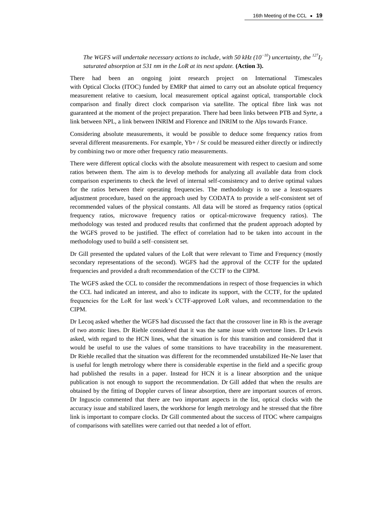*The WGFS will undertake necessary actions to include, with 50 kHz (10<sup>* $−10$ *</sup>) <i>uncertainty, the*  $^{127}I_2$ *saturated absorption at 531 nm in the LoR at its next update.* **(Action 3).**

There had been an ongoing joint research project on International Timescales with Optical Clocks (ITOC) funded by EMRP that aimed to carry out an absolute optical frequency measurement relative to caesium, local measurement optical against optical, transportable clock comparison and finally direct clock comparison via satellite. The optical fibre link was not guaranteed at the moment of the project preparation. There had been links between PTB and Syrte, a link between NPL, a link between INRIM and Florence and INRIM to the Alps towards France.

Considering absolute measurements, it would be possible to deduce some frequency ratios from several different measurements. For example, Yb+ / Sr could be measured either directly or indirectly by combining two or more other frequency ratio measurements.

There were different optical clocks with the absolute measurement with respect to caesium and some ratios between them. The aim is to develop methods for analyzing all available data from clock comparison experiments to check the level of internal self-consistency and to derive optimal values for the ratios between their operating frequencies. The methodology is to use a least-squares adjustment procedure, based on the approach used by CODATA to provide a self-consistent set of recommended values of the physical constants. All data will be stored as frequency ratios (optical frequency ratios, microwave frequency ratios or optical-microwave frequency ratios). The methodology was tested and produced results that confirmed that the prudent approach adopted by the WGFS proved to be justified. The effect of correlation had to be taken into account in the methodology used to build a self–consistent set.

Dr Gill presented the updated values of the LoR that were relevant to Time and Frequency (mostly secondary representations of the second). WGFS had the approval of the CCTF for the updated frequencies and provided a draft recommendation of the CCTF to the CIPM.

The WGFS asked the CCL to consider the recommendations in respect of those frequencies in which the CCL had indicated an interest, and also to indicate its support, with the CCTF, for the updated frequencies for the LoR for last week's CCTF-approved LoR values, and recommendation to the CIPM.

Dr Lecoq asked whether the WGFS had discussed the fact that the crossover line in Rb is the average of two atomic lines. Dr Riehle considered that it was the same issue with overtone lines. Dr Lewis asked, with regard to the HCN lines, what the situation is for this transition and considered that it would be useful to use the values of some transitions to have traceability in the measurement. Dr Riehle recalled that the situation was different for the recommended unstabilized He-Ne laser that is useful for length metrology where there is considerable expertise in the field and a specific group had published the results in a paper. Instead for HCN it is a linear absorption and the unique publication is not enough to support the recommendation. Dr Gill added that when the results are obtained by the fitting of Doppler curves of linear absorption, there are important sources of errors. Dr Inguscio commented that there are two important aspects in the list, optical clocks with the accuracy issue and stabilized lasers, the workhorse for length metrology and he stressed that the fibre link is important to compare clocks. Dr Gill commented about the success of ITOC where campaigns of comparisons with satellites were carried out that needed a lot of effort.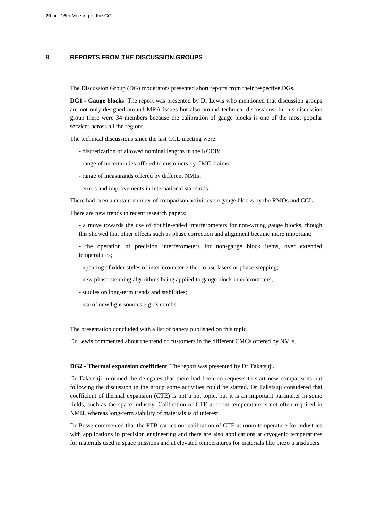# **8 REPORTS FROM THE DISCUSSION GROUPS**

The Discussion Group (DG) moderators presented short reports from their respective DGs.

**DG1 - Gauge blocks**. The report was presented by Dr Lewis who mentioned that discussion groups are not only designed around MRA issues but also around technical discussions. In this discussion group there were 34 members because the calibration of gauge blocks is one of the most popular services across all the regions.

The technical discussions since the last CCL meeting were:

- discretization of allowed nominal lengths in the KCDB;
- range of uncertainties offered to customers by CMC claims;
- range of measurands offered by different NMIs;
- errors and improvements in international standards.

There had been a certain number of comparison activities on gauge blocks by the RMOs and CCL.

There are new trends in recent research papers:

- a move towards the use of double-ended interferometers for non-wrung gauge blocks, though this showed that other effects such as phase correction and alignment became more important;

- the operation of precision interferometers for non-gauge block items, over extended temperatures;

- updating of older styles of interferometer either to use lasers or phase-stepping;
- new phase-stepping algorithms being applied to gauge block interferometers;
- studies on long-term trends and stabilities;
- use of new light sources e.g. fs combs.

The presentation concluded with a list of papers published on this topic.

Dr Lewis commented about the trend of customers in the different CMCs offered by NMIs.

**DG2 - Thermal expansion coefficient**. The report was presented by Dr Takatsuji.

Dr Takatsuji informed the delegates that there had been no requests to start new comparisons but following the discussion in the group some activities could be started. Dr Takatsuji considered that coefficient of thermal expansion (CTE) is not a hot topic, but it is an important parameter in some fields, such as the space industry. Calibration of CTE at room temperature is not often required in NMIJ, whereas long-term stability of materials is of interest.

Dr Bosse commented that the PTB carries out calibration of CTE at room temperature for industries with applications in precision engineering and there are also applications at cryogenic temperatures for materials used in space missions and at elevated temperatures for materials like piezo transducers.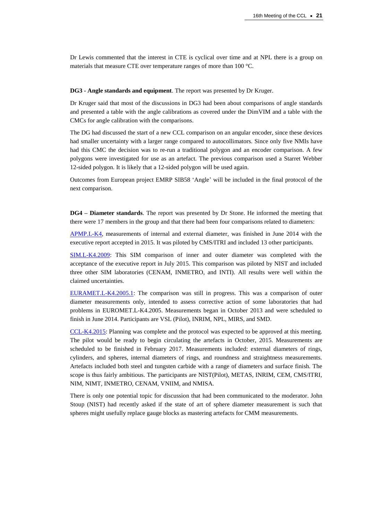Dr Lewis commented that the interest in CTE is cyclical over time and at NPL there is a group on materials that measure CTE over temperature ranges of more than 100 °C.

**DG3 - Angle standards and equipment**. The report was presented by Dr Kruger.

Dr Kruger said that most of the discussions in DG3 had been about comparisons of angle standards and presented a table with the angle calibrations as covered under the DimVIM and a table with the CMCs for angle calibration with the comparisons.

The DG had discussed the start of a new CCL comparison on an angular encoder, since these devices had smaller uncertainty with a larger range compared to autocollimators. Since only five NMIs have had this CMC the decision was to re-run a traditional polygon and an encoder comparison. A few polygons were investigated for use as an artefact. The previous comparison used a Starret Webber 12-sided polygon. It is likely that a 12-sided polygon will be used again.

Outcomes from European project EMRP SIB58 'Angle' will be included in the final protocol of the next comparison.

**DG4 – Diameter standards**. The report was presented by Dr Stone. He informed the meeting that there were 17 members in the group and that there had been four comparisons related to diameters:

[APMP.L-K4,](http://kcdb.bipm.org/appendixB/KCDB_ApB_info.asp?cmp_idy=851&cmp_cod=APMP%2EL%2DK4&page=1&search=2&cmp_cod_search=APMP%2EL%2DK4&met_idy=&bra_idy=&epo_idy=&cmt_idy=&ett_idy_org=&lab_idy=&cou_cod=) measurements of internal and external diameter, was finished in June 2014 with the executive report accepted in 2015. It was piloted by CMS/ITRI and included 13 other participants.

[SIM.L-K4.2009:](http://kcdb.bipm.org/appendixB/KCDB_ApB_info.asp?cmp_idy=1050&cmp_cod=SIM%2EL%2DK4%2E2009&page=1&search=2&cmp_cod_search=SIM%2EL%2DK4%2E2009&met_idy=&bra_idy=&epo_idy=&cmt_idy=&ett_idy_org=&lab_idy=&cou_cod=) This SIM comparison of inner and outer diameter was completed with the acceptance of the executive report in July 2015. This comparison was piloted by NIST and included three other SIM laboratories (CENAM, INMETRO, and INTI). All results were well within the claimed uncertainties.

[EURAMET.L-K4.2005.1:](http://kcdb.bipm.org/appendixB/KCDB_ApB_info.asp?cmp_idy=1381&cmp_cod=EURAMET%2EL%2DK4%2E2005%2E1&page=1&search=2&cmp_cod_search=EURAMET%2EL%2DK4%2E2005%2E1&met_idy=&bra_idy=&epo_idy=&cmt_idy=&ett_idy_org=&lab_idy=&cou_cod=) The comparison was still in progress. This was a comparison of outer diameter measurements only, intended to assess corrective action of some laboratories that had problems in EUROMET.L-K4.2005. Measurements began in October 2013 and were scheduled to finish in June 2014. Participants are VSL (Pilot), INRIM, NPL, MIRS, and SMD.

[CCL-K4.2015:](http://kcdb.bipm.org/appendixB/KCDB_ApB_info.asp?cmp_idy=1504&cmp_cod=CCL%2DK4%2E2015&page=1&search=2&cmp_cod_search=CCL%2DK4%2E2015&met_idy=&bra_idy=&epo_idy=&cmt_idy=&ett_idy_org=&lab_idy=&cou_cod=) Planning was complete and the protocol was expected to be approved at this meeting. The pilot would be ready to begin circulating the artefacts in October, 2015. Measurements are scheduled to be finished in February 2017. Measurements included: external diameters of rings, cylinders, and spheres, internal diameters of rings, and roundness and straightness measurements. Artefacts included both steel and tungsten carbide with a range of diameters and surface finish. The scope is thus fairly ambitious. The participants are NIST(Pilot), METAS, INRIM, CEM, CMS/ITRI, NIM, NIMT, INMETRO, CENAM, VNIIM, and NMISA.

There is only one potential topic for discussion that had been communicated to the moderator. John Stoup (NIST) had recently asked if the state of art of sphere diameter measurement is such that spheres might usefully replace gauge blocks as mastering artefacts for CMM measurements.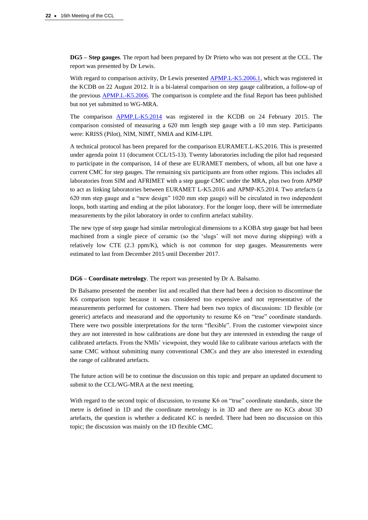**DG5 – Step gauges**. The report had been prepared by Dr Prieto who was not present at the CCL. The report was presented by Dr Lewis.

With regard to comparison activity, Dr Lewis presented [APMP.L-K5.2006.1,](http://kcdb.bipm.org/appendixB/KCDB_ApB_info.asp?cmp_idy=1241&cmp_cod=APMP%2EL%2DK5%2E2006%2E1&page=1&search=2&cmp_cod_search=APMP%2EL%2DK5%2E2006%2E1&met_idy=&bra_idy=&epo_idy=&cmt_idy=&ett_idy_org=&lab_idy=&cou_cod=) which was registered in the KCDB on 22 August 2012. It is a bi-lateral comparison on step gauge calibration, a follow-up of the previous [APMP.L-K5.2006.](http://kcdb.bipm.org/appendixB/KCDB_ApB_info.asp?cmp_idy=748&cmp_cod=APMP%2EL%2DK5%2E2006&page=1&search=2&cmp_cod_search=APMP%2EL%2DK5%2E2006&met_idy=&bra_idy=&epo_idy=&cmt_idy=&ett_idy_org=&lab_idy=&cou_cod=) The comparison is complete and the final Report has been published but not yet submitted to WG-MRA.

The comparison [APMP.L-K5.2014](http://kcdb.bipm.org/appendixB/KCDB_ApB_info.asp?cmp_idy=1440&cmp_cod=APMP%2EL%2DK5%2E2014&page=1&search=2&cmp_cod_search=APMP%2EL%2DK5%2E2014&met_idy=&bra_idy=&epo_idy=&cmt_idy=&ett_idy_org=&lab_idy=&cou_cod=) was registered in the KCDB on 24 February 2015. The comparison consisted of measuring a 620 mm length step gauge with a 10 mm step. Participants were: KRISS (Pilot), NIM, NIMT, NMIA and KIM-LIPI.

A technical protocol has been prepared for the comparison EURAMET.L-K5.2016. This is presented under agenda point 11 (document CCL/15-13). Twenty laboratories including the pilot had requested to participate in the comparison, 14 of these are EURAMET members, of whom, all but one have a current CMC for step gauges. The remaining six participants are from other regions. This includes all laboratories from SIM and AFRIMET with a step gauge CMC under the MRA, plus two from APMP to act as linking laboratories between EURAMET L-K5.2016 and APMP-K5.2014. Two artefacts (a 620 mm step gauge and a "new design" 1020 mm step gauge) will be circulated in two independent loops, both starting and ending at the pilot laboratory. For the longer loop, there will be intermediate measurements by the pilot laboratory in order to confirm artefact stability.

The new type of step gauge had similar metrological dimensions to a KOBA step gauge but had been machined from a single piece of ceramic (so the 'slugs' will not move during shipping) with a relatively low CTE (2.3 ppm/K), which is not common for step gauges. Measurements were estimated to last from December 2015 until December 2017.

**DG6 – Coordinate metrology**. The report was presented by Dr A. Balsamo.

Dr Balsamo presented the member list and recalled that there had been a decision to discontinue the K6 comparison topic because it was considered too expensive and not representative of the measurements performed for customers. There had been two topics of discussions: 1D flexible (or generic) artefacts and measurand and the opportunity to resume K6 on "true" coordinate standards. There were two possible interpretations for the term "flexible". From the customer viewpoint since they are not interested in how calibrations are done but they are interested in extending the range of calibrated artefacts. From the NMIs' viewpoint, they would like to calibrate various artefacts with the same CMC without submitting many conventional CMCs and they are also interested in extending the range of calibrated artefacts.

The future action will be to continue the discussion on this topic and prepare an updated document to submit to the CCL/WG-MRA at the next meeting.

With regard to the second topic of discussion, to resume K6 on "true" coordinate standards, since the metre is defined in 1D and the coordinate metrology is in 3D and there are no KCs about 3D artefacts, the question is whether a dedicated KC is needed. There had been no discussion on this topic; the discussion was mainly on the 1D flexible CMC.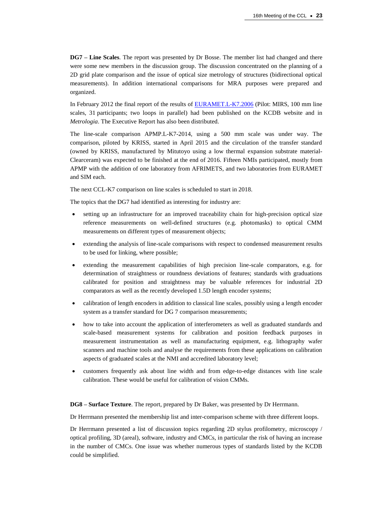**DG7 – Line Scales**. The report was presented by Dr Bosse. The member list had changed and there were some new members in the discussion group. The discussion concentrated on the planning of a 2D grid plate comparison and the issue of optical size metrology of structures (bidirectional optical measurements). In addition international comparisons for MRA purposes were prepared and organized.

In February 2012 the final report of the results of [EURAMET.L-K7.2006](http://kcdb.bipm.org/appendixB/KCDB_ApB_info.asp?cmp_idy=782&cmp_cod=EUROMET.L-K7.2006&prov=exalead) (Pilot: MIRS, 100 mm line scales, 31 participants; two loops in parallel) had been published on the KCDB website and in *Metrologia*. The Executive Report has also been distributed.

The line-scale comparison APMP.L-K7-2014, using a 500 mm scale was under way. The comparison, piloted by KRISS, started in April 2015 and the circulation of the transfer standard (owned by KRISS, manufactured by Mitutoyo using a low thermal expansion substrate material-Clearceram) was expected to be finished at the end of 2016. Fifteen NMIs participated, mostly from APMP with the addition of one laboratory from AFRIMETS, and two laboratories from EURAMET and SIM each.

The next CCL-K7 comparison on line scales is scheduled to start in 2018.

The topics that the DG7 had identified as interesting for industry are:

- setting up an infrastructure for an improved traceability chain for high-precision optical size reference measurements on well-defined structures (e.g. photomasks) to optical CMM measurements on different types of measurement objects;
- extending the analysis of line-scale comparisons with respect to condensed measurement results to be used for linking, where possible;
- extending the measurement capabilities of high precision line-scale comparators, e.g. for determination of straightness or roundness deviations of features; standards with graduations calibrated for position and straightness may be valuable references for industrial 2D comparators as well as the recently developed 1.5D length encoder systems;
- calibration of length encoders in addition to classical line scales, possibly using a length encoder system as a transfer standard for DG 7 comparison measurements;
- how to take into account the application of interferometers as well as graduated standards and scale-based measurement systems for calibration and position feedback purposes in measurement instrumentation as well as manufacturing equipment, e.g. lithography wafer scanners and machine tools and analyse the requirements from these applications on calibration aspects of graduated scales at the NMI and accredited laboratory level;
- customers frequently ask about line width and from edge-to-edge distances with line scale calibration. These would be useful for calibration of vision CMMs.

**DG8 – Surface Texture**. The report, prepared by Dr Baker, was presented by Dr Herrmann.

Dr Herrmann presented the membership list and inter-comparison scheme with three different loops.

Dr Herrmann presented a list of discussion topics regarding 2D stylus profilometry, microscopy / optical profiling, 3D (areal), software, industry and CMCs, in particular the risk of having an increase in the number of CMCs. One issue was whether numerous types of standards listed by the KCDB could be simplified.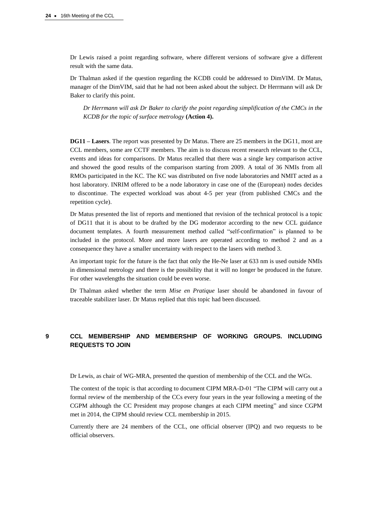Dr Lewis raised a point regarding software, where different versions of software give a different result with the same data.

Dr Thalman asked if the question regarding the KCDB could be addressed to DimVIM. Dr Matus, manager of the DimVIM, said that he had not been asked about the subject. Dr Herrmann will ask Dr Baker to clarify this point.

*Dr Herrmann will ask Dr Baker to clarify the point regarding simplification of the CMCs in the KCDB for the topic of surface metrology* **(Action 4).**

**DG11 – Lasers**. The report was presented by Dr Matus. There are 25 members in the DG11, most are CCL members, some are CCTF members. The aim is to discuss recent research relevant to the CCL, events and ideas for comparisons. Dr Matus recalled that there was a single key comparison active and showed the good results of the comparison starting from 2009. A total of 36 NMIs from all RMOs participated in the KC. The KC was distributed on five node laboratories and NMIT acted as a host laboratory. INRIM offered to be a node laboratory in case one of the (European) nodes decides to discontinue. The expected workload was about 4-5 per year (from published CMCs and the repetition cycle).

Dr Matus presented the list of reports and mentioned that revision of the technical protocol is a topic of DG11 that it is about to be drafted by the DG moderator according to the new CCL guidance document templates. A fourth measurement method called "self-confirmation" is planned to be included in the protocol. More and more lasers are operated according to method 2 and as a consequence they have a smaller uncertainty with respect to the lasers with method 3.

An important topic for the future is the fact that only the He-Ne laser at 633 nm is used outside NMIs in dimensional metrology and there is the possibility that it will no longer be produced in the future. For other wavelengths the situation could be even worse.

Dr Thalman asked whether the term *Mise en Pratique* laser should be abandoned in favour of traceable stabilizer laser. Dr Matus replied that this topic had been discussed.

# **9 CCL MEMBERSHIP AND MEMBERSHIP OF WORKING GROUPS. INCLUDING REQUESTS TO JOIN**

Dr Lewis, as chair of WG-MRA, presented the question of membership of the CCL and the WGs.

The context of the topic is that according to document CIPM MRA-D-01 "The CIPM will carry out a formal review of the membership of the CCs every four years in the year following a meeting of the CGPM although the CC President may propose changes at each CIPM meeting" and since CGPM met in 2014, the CIPM should review CCL membership in 2015.

Currently there are 24 members of the CCL, one official observer (IPQ) and two requests to be official observers.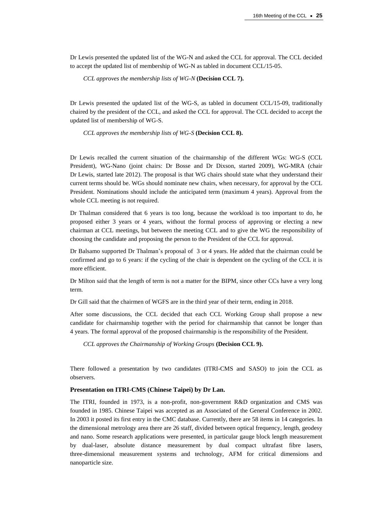Dr Lewis presented the updated list of the WG-N and asked the CCL for approval. The CCL decided to accept the updated list of membership of WG-N as tabled in document CCL/15-05.

*CCL approves the membership lists of WG-N* **(Decision CCL 7).**

Dr Lewis presented the updated list of the WG-S, as tabled in document CCL/15-09, traditionally chaired by the president of the CCL, and asked the CCL for approval. The CCL decided to accept the updated list of membership of WG-S.

*CCL approves the membership lists of WG-S* **(Decision CCL 8).**

Dr Lewis recalled the current situation of the chairmanship of the different WGs: WG-S (CCL President), WG-Nano (joint chairs: Dr Bosse and Dr Dixson, started 2009), WG-MRA (chair Dr Lewis, started late 2012). The proposal is that WG chairs should state what they understand their current terms should be. WGs should nominate new chairs, when necessary, for approval by the CCL President. Nominations should include the anticipated term (maximum 4 years). Approval from the whole CCL meeting is not required.

Dr Thalman considered that 6 years is too long, because the workload is too important to do, he proposed either 3 years or 4 years, without the formal process of approving or electing a new chairman at CCL meetings, but between the meeting CCL and to give the WG the responsibility of choosing the candidate and proposing the person to the President of the CCL for approval.

Dr Balsamo supported Dr Thalman's proposal of 3 or 4 years. He added that the chairman could be confirmed and go to 6 years: if the cycling of the chair is dependent on the cycling of the CCL it is more efficient.

Dr Milton said that the length of term is not a matter for the BIPM, since other CCs have a very long term.

Dr Gill said that the chairmen of WGFS are in the third year of their term, ending in 2018.

After some discussions, the CCL decided that each CCL Working Group shall propose a new candidate for chairmanship together with the period for chairmanship that cannot be longer than 4 years. The formal approval of the proposed chairmanship is the responsibility of the President.

*CCL approves the Chairmanship of Working Groups* **(Decision CCL 9).**

There followed a presentation by two candidates (ITRI-CMS and SASO) to join the CCL as observers.

## **Presentation on ITRI-CMS (Chinese Taipei) by Dr Lan.**

The ITRI, founded in 1973, is a non-profit, non-government R&D organization and CMS was founded in 1985. Chinese Taipei was accepted as an Associated of the General Conference in 2002. In 2003 it posted its first entry in the CMC database. Currently, there are 58 items in 14 categories. In the dimensional metrology area there are 26 staff, divided between optical frequency, length, geodesy and nano. Some research applications were presented, in particular gauge block length measurement by dual-laser, absolute distance measurement by dual compact ultrafast fibre lasers, three-dimensional measurement systems and technology, AFM for critical dimensions and nanoparticle size.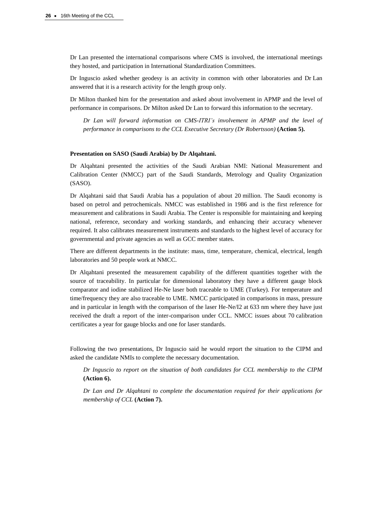Dr Lan presented the international comparisons where CMS is involved, the international meetings they hosted, and participation in International Standardization Committees.

Dr Inguscio asked whether geodesy is an activity in common with other laboratories and Dr Lan answered that it is a research activity for the length group only.

Dr Milton thanked him for the presentation and asked about involvement in APMP and the level of performance in comparisons. Dr Milton asked Dr Lan to forward this information to the secretary.

*Dr Lan will forward information on CMS-ITRI's involvement in APMP and the level of performance in comparisons to the CCL Executive Secretary (Dr Robertsson)* **(Action 5).**

#### **Presentation on SASO (Saudi Arabia) by Dr Alqahtani.**

Dr Alqahtani presented the activities of the Saudi Arabian NMI: National Measurement and Calibration Center (NMCC) part of the Saudi Standards, Metrology and Quality Organization (SASO).

Dr Alqahtani said that Saudi Arabia has a population of about 20 million. The Saudi economy is based on petrol and petrochemicals. NMCC was established in 1986 and is the first reference for measurement and calibrations in Saudi Arabia. The Center is responsible for maintaining and keeping national, reference, secondary and working standards, and enhancing their accuracy whenever required. It also calibrates measurement instruments and standards to the highest level of accuracy for governmental and private agencies as well as GCC member states.

There are different departments in the institute: mass, time, temperature, chemical, electrical, length laboratories and 50 people work at NMCC.

Dr Alqahtani presented the measurement capability of the different quantities together with the source of traceability. In particular for dimensional laboratory they have a different gauge block comparator and iodine stabilized He-Ne laser both traceable to UME (Turkey). For temperature and time/frequency they are also traceable to UME. NMCC participated in comparisons in mass, pressure and in particular in length with the comparison of the laser He-Ne/I2 at 633 nm where they have just received the draft a report of the inter-comparison under CCL. NMCC issues about 70 calibration certificates a year for gauge blocks and one for laser standards.

Following the two presentations, Dr Inguscio said he would report the situation to the CIPM and asked the candidate NMIs to complete the necessary documentation.

*Dr Inguscio to report on the situation of both candidates for CCL membership to the CIPM*  **(Action 6).**

*Dr Lan and Dr Alqahtani to complete the documentation required for their applications for membership of CCL* **(Action 7).**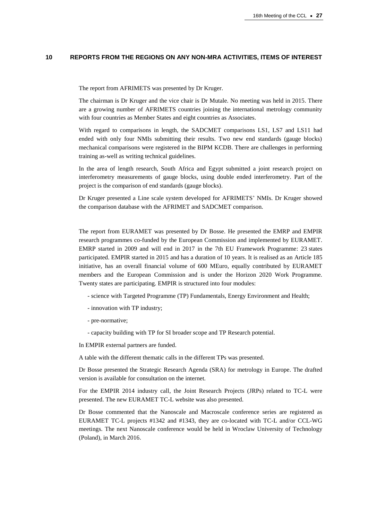## **10 REPORTS FROM THE REGIONS ON ANY NON-MRA ACTIVITIES, ITEMS OF INTEREST**

The report from AFRIMETS was presented by Dr Kruger.

The chairman is Dr Kruger and the vice chair is Dr Mutale. No meeting was held in 2015. There are a growing number of AFRIMETS countries joining the international metrology community with four countries as Member States and eight countries as Associates.

With regard to comparisons in length, the SADCMET comparisons LS1, LS7 and LS11 had ended with only four NMIs submitting their results. Two new end standards (gauge blocks) mechanical comparisons were registered in the BIPM KCDB. There are challenges in performing training as-well as writing technical guidelines.

In the area of length research, South Africa and Egypt submitted a joint research project on interferometry measurements of gauge blocks, using double ended interferometry. Part of the project is the comparison of end standards (gauge blocks).

Dr Kruger presented a Line scale system developed for AFRIMETS' NMIs. Dr Kruger showed the comparison database with the AFRIMET and SADCMET comparison.

The report from EURAMET was presented by Dr Bosse. He presented the EMRP and EMPIR research programmes co-funded by the European Commission and implemented by EURAMET. EMRP started in 2009 and will end in 2017 in the 7th EU Framework Programme: 23 states participated. EMPIR started in 2015 and has a duration of 10 years. It is realised as an Article 185 initiative, has an overall financial volume of 600 MEuro, equally contributed by EURAMET members and the European Commission and is under the Horizon 2020 Work Programme. Twenty states are participating. EMPIR is structured into four modules:

- science with Targeted Programme (TP) Fundamentals, Energy Environment and Health;
- innovation with TP industry;
- pre-normative;
- capacity building with TP for SI broader scope and TP Research potential.

In EMPIR external partners are funded.

A table with the different thematic calls in the different TPs was presented.

Dr Bosse presented the Strategic Research Agenda (SRA) for metrology in Europe. The drafted version is available for consultation on the internet.

For the EMPIR 2014 industry call, the Joint Research Projects (JRPs) related to TC-L were presented. The new EURAMET TC-L website was also presented.

Dr Bosse commented that the Nanoscale and Macroscale conference series are registered as EURAMET TC-L projects #1342 and #1343, they are co-located with TC-L and/or CCL-WG meetings. The next Nanoscale conference would be held in Wroclaw University of Technology (Poland), in March 2016.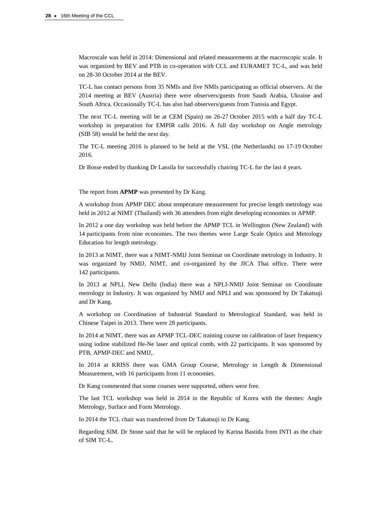Macroscale was held in 2014: Dimensional and related measurements at the macroscopic scale. It was organized by BEV and PTB in co-operation with CCL and EURAMET TC-L, and was held on 28-30 October 2014 at the BEV.

TC-L has contact persons from 35 NMIs and five NMIs participating as official observers. At the 2014 meeting at BEV (Austria) there were observers/guests from Saudi Arabia, Ukraine and South Africa. Occasionally TC-L has also had observers/guests from Tunisia and Egypt.

The next TC-L meeting will be at CEM (Spain) on 26-27 October 2015 with a half day TC-L workshop in preparation for EMPIR calls 2016. A full day workshop on Angle metrology (SIB 58) would be held the next day.

The TC-L meeting 2016 is planned to be held at the VSL (the Netherlands) on 17-19 October 2016.

Dr Bosse ended by thanking Dr Lassila for successfully chairing TC-L for the last 4 years.

The report from **APMP** was presented by Dr Kang.

A workshop from APMP DEC about temperature measurement for precise length metrology was held in 2012 at NIMT (Thailand) with 36 attendees from eight developing economies in APMP.

In 2012 a one day workshop was held before the APMP TCL in Wellington (New Zealand) with 14 participants from nine economies. The two themes were Large Scale Optics and Metrology Education for length metrology.

In 2013 at NIMT, there was a NIMT-NMIJ Joint Seminar on Coordinate metrology in Industry. It was organized by NMIJ, NIMT, and co-organized by the JICA Thai office. There were 142 participants.

In 2013 at NPLI, New Delhi (India) there was a NPLI-NMIJ Joint Seminar on Coordinate metrology in Industry. It was organized by NMIJ and NPLI and was sponsored by Dr Takatsuji and Dr Kang.

A workshop on Coordination of Industrial Standard to Metrological Standard, was held in Chinese Taipei in 2013. There were 28 participants.

In 2014 at NIMT, there was an APMP TCL-DEC training course on calibration of laser frequency using iodine stabilized He-Ne laser and optical comb, with 22 participants. It was sponsored by PTB, APMP-DEC and NMIJ,.

In 2014 at KRISS there was GMA Group Course, Metrology in Length & Dimensional Measurement, with 16 participants from 11 economies.

Dr Kang commented that some courses were supported, others were free.

The last TCL workshop was held in 2014 in the Republic of Korea with the themes: Angle Metrology, Surface and Form Metrology.

In 2014 the TCL chair was transferred from Dr Takatsuji to Dr Kang.

Regarding SIM. Dr Stone said that he will be replaced by Karina Bastida from INTI as the chair of SIM TC-L.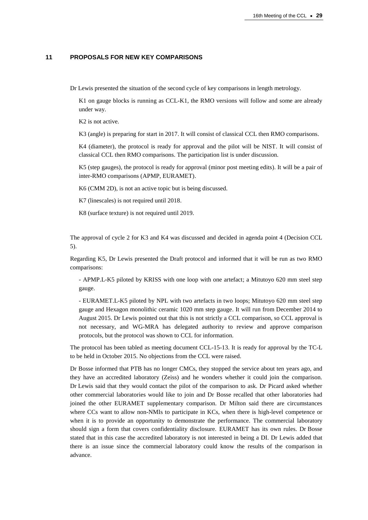## **11 PROPOSALS FOR NEW KEY COMPARISONS**

Dr Lewis presented the situation of the second cycle of key comparisons in length metrology.

K1 on gauge blocks is running as CCL-K1, the RMO versions will follow and some are already under way.

K2 is not active.

K3 (angle) is preparing for start in 2017. It will consist of classical CCL then RMO comparisons.

K4 (diameter), the protocol is ready for approval and the pilot will be NIST. It will consist of classical CCL then RMO comparisons. The participation list is under discussion.

K5 (step gauges), the protocol is ready for approval (minor post meeting edits). It will be a pair of inter-RMO comparisons (APMP, EURAMET).

K6 (CMM 2D), is not an active topic but is being discussed.

K7 (linescales) is not required until 2018.

K8 (surface texture) is not required until 2019.

The approval of cycle 2 for K3 and K4 was discussed and decided in agenda point 4 (Decision CCL 5).

Regarding K5, Dr Lewis presented the Draft protocol and informed that it will be run as two RMO comparisons:

- APMP.L-K5 piloted by KRISS with one loop with one artefact; a Mitutoyo 620 mm steel step gauge.

- EURAMET.L-K5 piloted by NPL with two artefacts in two loops; Mitutoyo 620 mm steel step gauge and Hexagon monolithic ceramic 1020 mm step gauge. It will run from December 2014 to August 2015. Dr Lewis pointed out that this is not strictly a CCL comparison, so CCL approval is not necessary, and WG-MRA has delegated authority to review and approve comparison protocols, but the protocol was shown to CCL for information.

The protocol has been tabled as meeting document CCL-15-13. It is ready for approval by the TC-L to be held in October 2015. No objections from the CCL were raised.

Dr Bosse informed that PTB has no longer CMCs, they stopped the service about ten years ago, and they have an accredited laboratory (Zeiss) and he wonders whether it could join the comparison. Dr Lewis said that they would contact the pilot of the comparison to ask. Dr Picard asked whether other commercial laboratories would like to join and Dr Bosse recalled that other laboratories had joined the other EURAMET supplementary comparison. Dr Milton said there are circumstances where CCs want to allow non-NMIs to participate in KCs, when there is high-level competence or when it is to provide an opportunity to demonstrate the performance. The commercial laboratory should sign a form that covers confidentiality disclosure. EURAMET has its own rules. Dr Bosse stated that in this case the accredited laboratory is not interested in being a DI. Dr Lewis added that there is an issue since the commercial laboratory could know the results of the comparison in advance.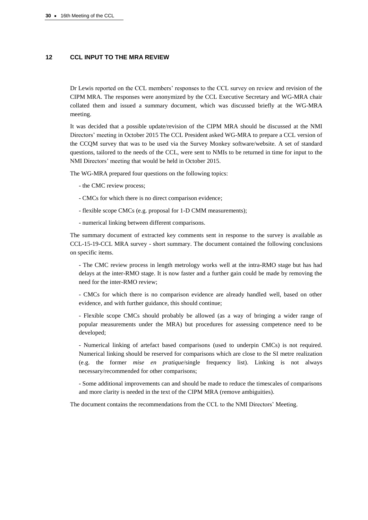## **12 CCL INPUT TO THE MRA REVIEW**

Dr Lewis reported on the CCL members' responses to the CCL survey on review and revision of the CIPM MRA. The responses were anonymized by the CCL Executive Secretary and WG-MRA chair collated them and issued a summary document, which was discussed briefly at the WG-MRA meeting.

It was decided that a possible update/revision of the CIPM MRA should be discussed at the NMI Directors' meeting in October 2015 The CCL President asked WG-MRA to prepare a CCL version of the CCQM survey that was to be used via the Survey Monkey software/website. A set of standard questions, tailored to the needs of the CCL, were sent to NMIs to be returned in time for input to the NMI Directors' meeting that would be held in October 2015.

The WG-MRA prepared four questions on the following topics:

- the CMC review process;
- CMCs for which there is no direct comparison evidence;
- flexible scope CMCs (e.g. proposal for 1-D CMM measurements);
- numerical linking between different comparisons.

The summary document of extracted key comments sent in response to the survey is available as CCL-15-19-CCL MRA survey - short summary. The document contained the following conclusions on specific items.

- The CMC review process in length metrology works well at the intra-RMO stage but has had delays at the inter-RMO stage. It is now faster and a further gain could be made by removing the need for the inter-RMO review;

- CMCs for which there is no comparison evidence are already handled well, based on other evidence, and with further guidance, this should continue;

- Flexible scope CMCs should probably be allowed (as a way of bringing a wider range of popular measurements under the MRA) but procedures for assessing competence need to be developed;

- Numerical linking of artefact based comparisons (used to underpin CMCs) is not required. Numerical linking should be reserved for comparisons which are close to the SI metre realization (e.g. the former *mise en pratique*/single frequency list). Linking is not always necessary/recommended for other comparisons;

- Some additional improvements can and should be made to reduce the timescales of comparisons and more clarity is needed in the text of the CIPM MRA (remove ambiguities).

The document contains the recommendations from the CCL to the NMI Directors' Meeting.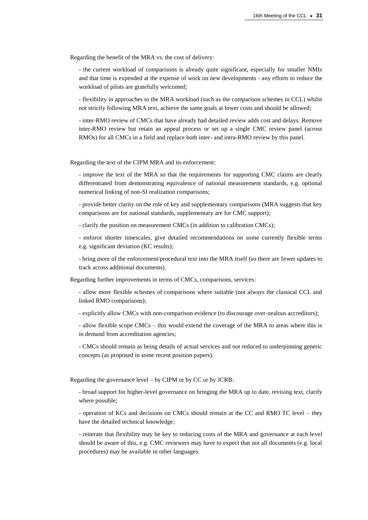Regarding the benefit of the MRA vs. the cost of delivery:

- the current workload of comparisons is already quite significant, especially for smaller NMIs and that time is expended at the expense of work on new developments - any efforts to reduce the workload of pilots are gratefully welcomed;

- flexibility in approaches to the MRA workload (such as the comparison schemes in CCL) whilst not strictly following MRA text, achieve the same goals at lower costs and should be allowed;

- inter-RMO review of CMCs that have already had detailed review adds cost and delays. Remove inter-RMO review but retain an appeal process or set up a single CMC review panel (across RMOs) for all CMCs in a field and replace both inter- and intra-RMO review by this panel.

Regarding the text of the CIPM MRA and its enforcement:

- improve the text of the MRA so that the requirements for supporting CMC claims are clearly differentiated from demonstrating equivalence of national measurement standards, e.g. optional numerical linking of non-SI realization comparisons;

- provide better clarity on the role of key and supplementary comparisons (MRA suggests that key comparisons are for national standards, supplementary are for CMC support);

- clarify the position on measurement CMCs (in addition to calibration CMCs);

- enforce shorter timescales, give detailed recommendations on some currently flexible terms e.g. significant deviation (KC results);

- bring more of the enforcement/procedural text into the MRA itself (so there are fewer updates to track across additional documents).

Regarding further improvements in terms of CMCs, comparisons, services:

- allow more flexible schemes of comparisons where suitable (not always the classical CCL and linked RMO comparisons);

- explicitly allow CMCs with non-comparison evidence (to discourage over-zealous accreditors);

- allow flexible scope CMCs – this would extend the coverage of the MRA to areas where this is in demand from accreditation agencies;

- CMCs should remain as being details of actual services and not reduced to underpinning generic concepts (as proposed in some recent position papers).

Regarding the governance level – by CIPM or by CC or by JCRB:

- broad support for higher-level governance on bringing the MRA up to date, revising text, clarify where possible;

- operation of KCs and decisions on CMCs should remain at the CC and RMO TC level – they have the detailed technical knowledge;

- reiterate that flexibility may be key to reducing costs of the MRA and governance at each level should be aware of this, e.g. CMC reviewers may have to expect that not all documents (e.g. local procedures) may be available in other languages.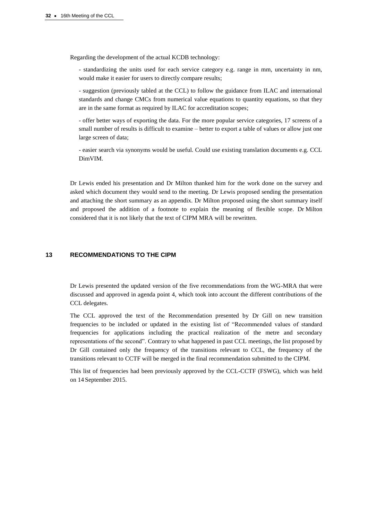Regarding the development of the actual KCDB technology:

- standardizing the units used for each service category e.g. range in mm, uncertainty in nm, would make it easier for users to directly compare results;

- suggestion (previously tabled at the CCL) to follow the guidance from ILAC and international standards and change CMCs from numerical value equations to quantity equations, so that they are in the same format as required by ILAC for accreditation scopes;

- offer better ways of exporting the data. For the more popular service categories, 17 screens of a small number of results is difficult to examine – better to export a table of values or allow just one large screen of data;

- easier search via synonyms would be useful. Could use existing translation documents e.g. CCL DimVIM.

Dr Lewis ended his presentation and Dr Milton thanked him for the work done on the survey and asked which document they would send to the meeting. Dr Lewis proposed sending the presentation and attaching the short summary as an appendix. Dr Milton proposed using the short summary itself and proposed the addition of a footnote to explain the meaning of flexible scope. Dr Milton considered that it is not likely that the text of CIPM MRA will be rewritten.

## **13 RECOMMENDATIONS TO THE CIPM**

Dr Lewis presented the updated version of the five recommendations from the WG-MRA that were discussed and approved in agenda point 4, which took into account the different contributions of the CCL delegates.

The CCL approved the text of the Recommendation presented by Dr Gill on new transition frequencies to be included or updated in the existing list of "Recommended values of standard frequencies for applications including the practical realization of the metre and secondary representations of the second". Contrary to what happened in past CCL meetings, the list proposed by Dr Gill contained only the frequency of the transitions relevant to CCL, the frequency of the transitions relevant to CCTF will be merged in the final recommendation submitted to the CIPM.

This list of frequencies had been previously approved by the CCL-CCTF (FSWG), which was held on 14 September 2015.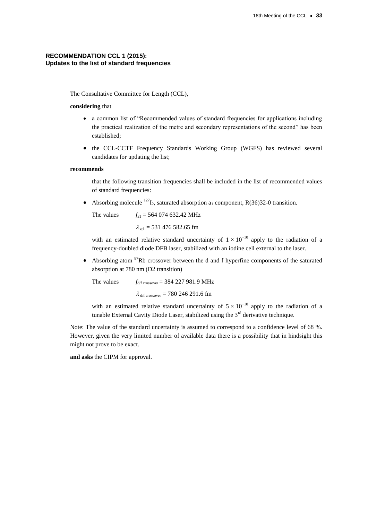## **RECOMMENDATION CCL 1 (2015): Updates to the list of standard frequencies**

The Consultative Committee for Length (CCL),

## **considering** that

- a common list of "Recommended values of standard frequencies for applications including the practical realization of the metre and secondary representations of the second" has been established;
- the CCL-CCTF Frequency Standards Working Group (WGFS) has reviewed several candidates for updating the list;

#### **recommends**

that the following transition frequencies shall be included in the list of recommended values of standard frequencies:

Absorbing molecule  $^{127}I_2$ , saturated absorption a<sub>1</sub> component, R(36)32-0 transition.

The values  $f_{a1} = 564\,074\,632.42\,\text{MHz}$  $\lambda_{\text{cl}}$  = 531 476 582.65 fm

with an estimated relative standard uncertainty of  $1 \times 10^{-10}$  apply to the radiation of a frequency-doubled diode DFB laser, stabilized with an iodine cell external to the laser.

Absorbing atom  $87Rb$  crossover between the d and f hyperfine components of the saturated absorption at 780 nm (D2 transition)

The values  $f_{\text{d/f crossover}} = 384\,227\,981.9\,\text{MHz}$  $\lambda$  d/f crossover = 780 246 291.6 fm

with an estimated relative standard uncertainty of  $5 \times 10^{-10}$  apply to the radiation of a tunable External Cavity Diode Laser, stabilized using the  $3<sup>rd</sup>$  derivative technique.

Note: The value of the standard uncertainty is assumed to correspond to a confidence level of 68 %. However, given the very limited number of available data there is a possibility that in hindsight this might not prove to be exact.

**and asks** the CIPM for approval.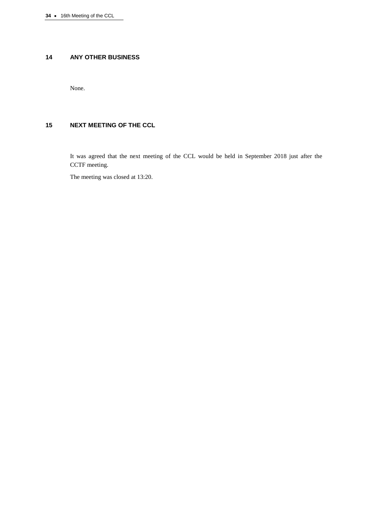# **14 ANY OTHER BUSINESS**

None.

# **15 NEXT MEETING OF THE CCL**

It was agreed that the next meeting of the CCL would be held in September 2018 just after the CCTF meeting.

The meeting was closed at 13:20.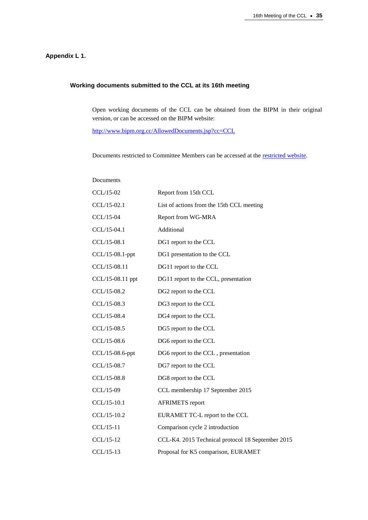# **Appendix L 1.**

# **Working documents submitted to the CCL at its 16th meeting**

Open working documents of the CCL can be obtained from the BIPM in their original version, or can be accessed on the BIPM website:

[http://www.bipm.org.cc/AllowedDocuments.jsp?cc=CCL](https://www.bipm.org.cc/AllowedDocuments.jsp?cc=CCL)

Documents restricted to Committee Members can be accessed at the [restricted website.](https://www.bipm.org/cc/CCL/Restricted/WorkingDocuments.jsp)

| Documents        |                                                   |
|------------------|---------------------------------------------------|
| CCL/15-02        | Report from 15th CCL                              |
| $CCL/15-02.1$    | List of actions from the 15th CCL meeting         |
| CCL/15-04        | Report from WG-MRA                                |
| CCL/15-04.1      | Additional                                        |
| CCL/15-08.1      | DG1 report to the CCL                             |
| CCL/15-08.1-ppt  | DG1 presentation to the CCL                       |
| CCL/15-08.11     | DG11 report to the CCL                            |
| CCL/15-08.11 ppt | DG11 report to the CCL, presentation              |
| CCL/15-08.2      | DG2 report to the CCL                             |
| CCL/15-08.3      | DG3 report to the CCL                             |
| CCL/15-08.4      | DG4 report to the CCL                             |
| CCL/15-08.5      | DG5 report to the CCL                             |
| CCL/15-08.6      | DG6 report to the CCL                             |
| CCL/15-08.6-ppt  | DG6 report to the CCL, presentation               |
| CCL/15-08.7      | DG7 report to the CCL                             |
| CCL/15-08.8      | DG8 report to the CCL                             |
| CCL/15-09        | CCL membership 17 September 2015                  |
| CCL/15-10.1      | <b>AFRIMETS</b> report                            |
| CCL/15-10.2      | EURAMET TC-L report to the CCL                    |
| CCL/15-11        | Comparison cycle 2 introduction                   |
| CCL/15-12        | CCL-K4. 2015 Technical protocol 18 September 2015 |
| $CCL/15-13$      | Proposal for K5 comparison, EURAMET               |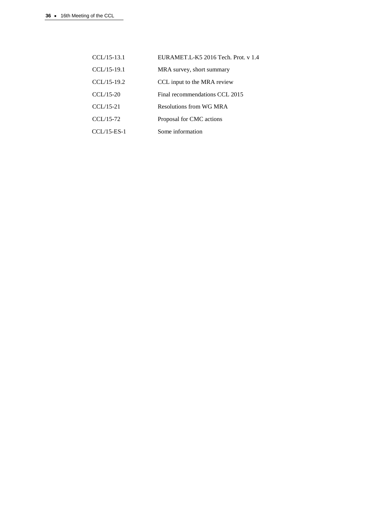| $CCL/15-13.1$ | EURAMET.L-K5 2016 Tech. Prot. v 1.4 |
|---------------|-------------------------------------|
| $CCL/15-19.1$ | MRA survey, short summary           |
| $CCL/15-19.2$ | CCL input to the MRA review         |
| $CCL/15-20$   | Final recommendations CCL 2015      |
| $CCL/15-21$   | Resolutions from WG MRA             |
| $CCL/15-72$   | Proposal for CMC actions            |
| $CCL/15-ES-1$ | Some information                    |
|               |                                     |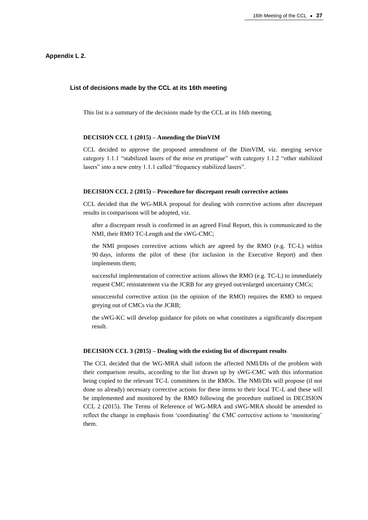## **Appendix L 2.**

#### **List of decisions made by the CCL at its 16th meeting**

This list is a summary of the decisions made by the CCL at its 16th meeting.

#### **DECISION CCL 1 (2015) – Amending the DimVIM**

CCL decided to approve the proposed amendment of the DimVIM, viz. merging service category 1.1.1 "stabilized lasers of the *mise en pratique*" with category 1.1.2 "other stabilized lasers" into a new entry 1.1.1 called "frequency stabilized lasers".

#### **DECISION CCL 2 (2015) – Procedure for discrepant result corrective actions**

CCL decided that the WG-MRA proposal for dealing with corrective actions after discrepant results in comparisons will be adopted, viz.

after a discrepant result is confirmed in an agreed Final Report, this is communicated to the NMI, their RMO TC-Length and the sWG-CMC;

the NMI proposes corrective actions which are agreed by the RMO (e.g. TC-L) within 90 days, informs the pilot of these (for inclusion in the Executive Report) and then implements them;

successful implementation of corrective actions allows the RMO (e.g. TC-L) to immediately request CMC reinstatement via the JCRB for any greyed out/enlarged uncertainty CMCs;

unsuccessful corrective action (in the opinion of the RMO) requires the RMO to request greying out of CMCs via the JCRB;

the sWG-KC will develop guidance for pilots on what constitutes a significantly discrepant result.

#### **DECISION CCL 3 (2015) – Dealing with the existing list of discrepant results**

The CCL decided that the WG-MRA shall inform the affected NMI/DIs of the problem with their comparison results, according to the list drawn up by sWG-CMC with this information being copied to the relevant TC-L committees in the RMOs. The NMI/DIs will propose (if not done so already) necessary corrective actions for these items to their local TC-L and these will be implemented and monitored by the RMO following the procedure outlined in DECISION CCL 2 (2015). The Terms of Reference of WG-MRA and sWG-MRA should be amended to reflect the change in emphasis from 'coordinating' the CMC corrective actions to 'monitoring' them.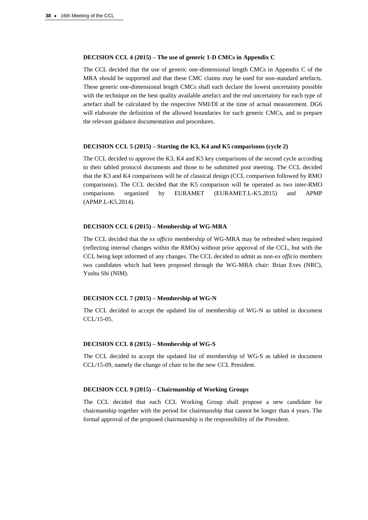# **DECISION CCL 4 (2015) – The use of generic 1-D CMCs in Appendix C**

The CCL decided that the use of generic one-dimensional length CMCs in Appendix C of the MRA should be supported and that these CMC claims may be used for non-standard artefacts. These generic one-dimensional length CMCs shall each declare the lowest uncertainty possible with the technique on the best quality available artefact and the real uncertainty for each type of artefact shall be calculated by the respective NMI/DI at the time of actual measurement. DG6 will elaborate the definition of the allowed boundaries for such generic CMCs, and to prepare the relevant guidance documentation and procedures.

## **DECISION CCL 5 (2015) – Starting the K3, K4 and K5 comparisons (cycle 2)**

The CCL decided to approve the K3, K4 and K5 key comparisons of the second cycle according to their tabled protocol documents and those to be submitted post meeting. The CCL decided that the K3 and K4 comparisons will be of classical design (CCL comparison followed by RMO comparisons). The CCL decided that the K5 comparison will be operated as two inter-RMO comparisons organized by EURAMET (EURAMET.L-K5.2015) and APMP (APMP.L-K5.2014).

#### **DECISION CCL 6 (2015) – Membership of WG-MRA**

The CCL decided that the *ex officio* membership of WG-MRA may be refreshed when required (reflecting internal changes within the RMOs) without prior approval of the CCL, but with the CCL being kept informed of any changes. The CCL decided to admit as non-*ex officio* members two candidates which had been proposed through the WG-MRA chair: Brian Eves (NRC), Yushu Shi (NIM).

#### **DECISION CCL 7 (2015) – Membership of WG-N**

The CCL decided to accept the updated list of membership of WG-N as tabled in document CCL/15-05.

## **DECISION CCL 8 (2015) – Membership of WG-S**

The CCL decided to accept the updated list of membership of WG-S as tabled in document CCL/15-09, namely the change of chair to be the new CCL President.

#### **DECISION CCL 9 (2015) – Chairmanship of Working Groups**

The CCL decided that each CCL Working Group shall propose a new candidate for chairmanship together with the period for chairmanship that cannot be longer than 4 years. The formal approval of the proposed chairmanship is the responsibility of the President.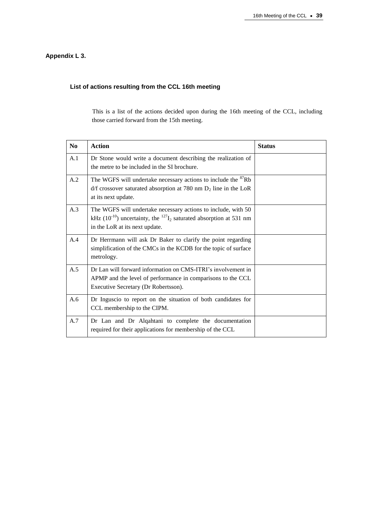# **Appendix L 3.**

# **List of actions resulting from the CCL 16th meeting**

This is a list of the actions decided upon during the 16th meeting of the CCL, including those carried forward from the 15th meeting.

| N <sub>o</sub> | <b>Action</b>                                                                                                                                                                     | <b>Status</b> |
|----------------|-----------------------------------------------------------------------------------------------------------------------------------------------------------------------------------|---------------|
| A.1            | Dr Stone would write a document describing the realization of<br>the metre to be included in the SI brochure.                                                                     |               |
| A.2            | The WGFS will undertake necessary actions to include the <sup>87</sup> Rb<br>$d/f$ crossover saturated absorption at 780 nm $D_2$ line in the LoR<br>at its next update.          |               |
| A.3            | The WGFS will undertake necessary actions to include, with 50<br>kHz ( $10^{-10}$ ) uncertainty, the $^{127}I_2$ saturated absorption at 531 nm<br>in the LoR at its next update. |               |
| A.4            | Dr Herrmann will ask Dr Baker to clarify the point regarding<br>simplification of the CMCs in the KCDB for the topic of surface<br>metrology.                                     |               |
| A.5            | Dr Lan will forward information on CMS-ITRI's involvement in<br>APMP and the level of performance in comparisons to the CCL<br>Executive Secretary (Dr Robertsson).               |               |
| A.6            | Dr Inguscio to report on the situation of both candidates for<br>CCL membership to the CIPM.                                                                                      |               |
| A.7            | Dr Lan and Dr Alqahtani to complete the documentation<br>required for their applications for membership of the CCL                                                                |               |